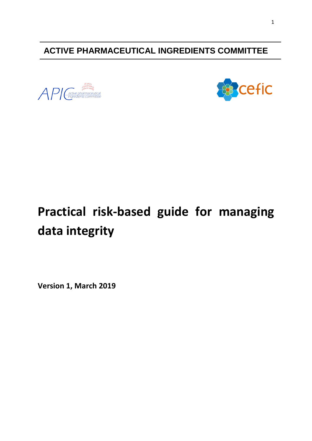**ACTIVE PHARMACEUTICAL INGREDIENTS COMMITTEE**

 $\bigwedge P$  Cactive pharmac



# **Practical risk-based guide for managing data integrity**

**Version 1, March 2019**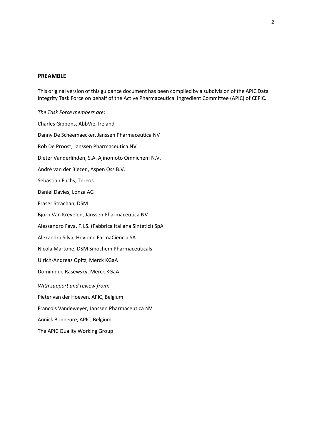#### **PREAMBLE**

This original version of this guidance document has been compiled by a subdivision of the APIC Data Integrity Task Force on behalf of the Active Pharmaceutical Ingredient Committee (APIC) of CEFIC.

*The Task Force members are*: Charles Gibbons, AbbVie, Ireland Danny De Scheemaecker, Janssen Pharmaceutica NV Rob De Proost, Janssen Pharmaceutica NV Dieter Vanderlinden, S.A. Ajinomoto Omnichem N.V. André van der Biezen, Aspen Oss B.V. Sebastian Fuchs, Tereos Daniel Davies, Lonza AG Fraser Strachan, DSM Bjorn Van Krevelen, Janssen Pharmaceutica NV Alessandro Fava, F.I.S. (Fabbrica Italiana Sintetici) SpA Alexandra Silva, Hovione FarmaCiencia SA Nicola Martone, DSM Sinochem Pharmaceuticals Ulrich-Andreas Opitz, Merck KGaA Dominique Rasewsky, Merck KGaA *With support and review from:* Pieter van der Hoeven, APIC, Belgium Francois Vandeweyer, Janssen Pharmaceutica NV Annick Bonneure, APIC, Belgium The APIC Quality Working Group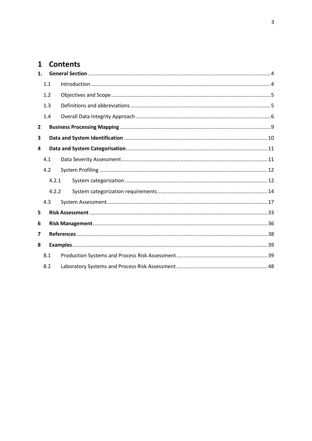# 1 Contents

| 1.             |       |  |
|----------------|-------|--|
|                | 1.1   |  |
|                | 1.2   |  |
|                | 1.3   |  |
|                | 1.4   |  |
| $\overline{2}$ |       |  |
| 3              |       |  |
| 4              |       |  |
|                | 4.1   |  |
|                | 4.2   |  |
|                | 4.2.1 |  |
|                | 4.2.2 |  |
|                | 4.3   |  |
| 5              |       |  |
| 6              |       |  |
| 7              |       |  |
| 8              |       |  |
|                | 8.1   |  |
|                | 8.2   |  |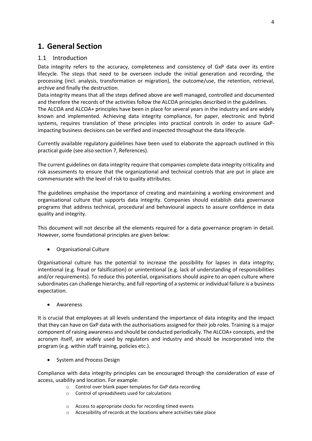# <span id="page-3-0"></span>**1. General Section**

# <span id="page-3-1"></span>1.1 Introduction

Data integrity refers to the accuracy, completeness and consistency of GxP data over its entire lifecycle. The steps that need to be overseen include the initial generation and recording, the processing (incl. analysis, transformation or migration), the outcome/use, the retention, retrieval, archive and finally the destruction.

Data integrity means that all the steps defined above are well managed, controlled and documented and therefore the records of the activities follow the ALCOA principles described in the guidelines.

The ALCOA and ALCOA+ principles have been in place for several years in the industry and are widely known and implemented. Achieving data integrity compliance, for paper, electronic and hybrid systems, requires translation of these principles into practical controls in order to assure GxPimpacting business decisions can be verified and inspected throughout the data lifecycle.

Currently available regulatory guidelines have been used to elaborate the approach outlined in this practical guide (see also section [7,](#page-37-0) [References\)](#page-37-0).

The current guidelines on data integrity require that companies complete data integrity criticality and risk assessments to ensure that the organizational and technical controls that are put in place are commensurate with the level of risk to quality attributes.

The guidelines emphasise the importance of creating and maintaining a working environment and organisational culture that supports data integrity. Companies should establish data governance programs that address technical, procedural and behavioural aspects to assure confidence in data quality and integrity.

This document will not describe all the elements required for a data governance program in detail. However, some foundational principles are given below:

• Organisational Culture

Organisational culture has the potential to increase the possibility for lapses in data integrity; intentional (e.g. fraud or falsification) or unintentional (e.g. lack of understanding of responsibilities and/or requirements). To reduce this potential, organisations should aspire to an open culture where subordinates can challenge hierarchy, and full reporting of a systemic or individual failure is a business expectation.

**Awareness** 

It is crucial that employees at all levels understand the importance of data integrity and the impact that they can have on GxP data with the authorisations assigned for their job roles. Training is a major component of raising awareness and should be conducted periodically. The ALCOA+ concepts, and the acronym itself, are widely used by regulators and industry and should be incorporated into the program (e.g. within staff training, policies etc.).

• System and Process Design

Compliance with data integrity principles can be encouraged through the consideration of ease of access, usability and location. For example:

- o Control over blank paper templates for GxP data recording
- o Control of spreadsheets used for calculations
- o Access to appropriate clocks for recording timed events
- o Accessibility of records at the locations where activities take place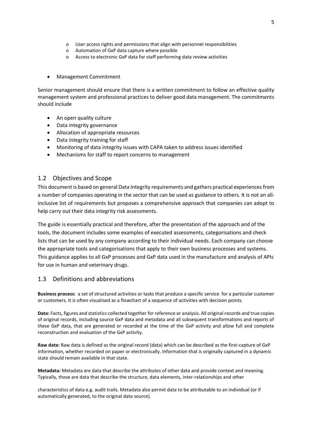- o User access rights and permissions that align with personnel responsibilities
- o Automation of GxP data capture where possible
- o Access to electronic GxP data for staff performing data review activities
- Management Commitment

Senior management should ensure that there is a written commitment to follow an effective quality management system and professional practices to deliver good data management. The commitments should include

- An open quality culture
- Data integrity governance
- Allocation of appropriate resources
- Data integrity training for staff
- Monitoring of data integrity issues with CAPA taken to address issues identified
- Mechanisms for staff to report concerns to management

## <span id="page-4-0"></span>1.2 Objectives and Scope

This document is based on general Data Integrity requirements and gathers practical experiences from a number of companies operating in the sector that can be used as guidance to others. It is not an allinclusive list of requirements but proposes a comprehensive approach that companies can adopt to help carry out their data integrity risk assessments.

The guide is essentially practical and therefore, after the presentation of the approach and of the tools, the document includes some examples of executed assessments, categorisations and check lists that can be used by any company according to their individual needs. Each company can choose the appropriate tools and categorisations that apply to their own business processes and systems. This guidance applies to all GxP processes and GxP data used in the manufacture and analysis of APIs for use in human and veterinary drugs.

## <span id="page-4-1"></span>1.3 Definitions and abbreviations

**Business process:** a set of structured activities o[r tasks](https://en.wikipedia.org/wiki/Task_(project_management)) that produce a specific service for a particular customer or customers. It is often visualised as [a flowchart](https://en.wikipedia.org/wiki/Flowchart) of a sequence of activities with decision points.

**Data:** Facts, figures and statistics collected together for reference or analysis. All original records and true copies of original records, including source GxP data and metadata and all subsequent transformations and reports of these GxP data, that are generated or recorded at the time of the GxP activity and allow full and complete reconstruction and evaluation of the GxP activity.

**Raw data:** Raw data is defined as the original record (data) which can be described as the first-capture of GxP information, whether recorded on paper or electronically. Information that is originally captured in a dynamic state should remain available in that state.

**Metadata:** Metadata are data that describe the attributes of other data and provide context and meaning. Typically, these are data that describe the structure, data elements, inter-relationships and other

characteristics of data e.g. audit trails. Metadata also permit data to be attributable to an individual (or if automatically generated, to the original data source).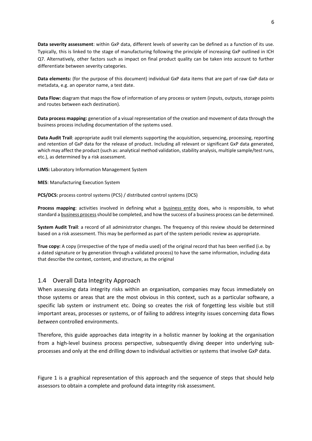**Data severity assessment**: within GxP data, different levels of severity can be defined as a function of its use. Typically, this is linked to the stage of manufacturing following the principle of increasing GxP outlined in ICH Q7. Alternatively, other factors such as impact on final product quality can be taken into account to further differentiate between severity categories.

**Data elements:** (for the purpose of this document) individual GxP data items that are part of raw GxP data or metadata, e.g. an operator name, a test date.

**Data Flow:** diagram that maps the flow of information of any process or system (inputs, outputs, storage points and routes between each destination).

**Data process mapping:** generation of a visual representation of the creation and movement of data through the business process including documentation of the systems used.

**Data Audit Trail**: appropriate audit trail elements supporting the acquisition, sequencing, processing, reporting and retention of GxP data for the release of product. Including all relevant or significant GxP data generated, which may affect the product (such as: analytical method validation, stability analysis, multiple sample/test runs, etc.), as determined by a risk assessment.

**LIMS:** Laboratory Information Management System

**MES**: Manufacturing Execution System

**PCS/DCS:** process control systems (PCS) / distributed control systems (DCS)

**Process mapping**: activities involved in defining what a [business entity](https://en.wikipedia.org/wiki/Business_entity) does, who is responsible, to what standard [a business processs](https://en.wikipedia.org/wiki/Business_process)hould be completed, and how the success of a business process can be determined.

**System Audit Trail**: a record of all administrator changes. The frequency of this review should be determined based on a risk assessment. This may be performed as part of the system periodic review as appropriate.

**True copy:** A copy (irrespective of the type of media used) of the original record that has been verified (i.e. by a dated signature or by generation through a validated process) to have the same information, including data that describe the context, content, and structure, as the original

#### <span id="page-5-0"></span>1.4 Overall Data Integrity Approach

When assessing data integrity risks within an organisation, companies may focus immediately on those systems or areas that are the most obvious in this context, such as a particular software, a specific lab system or instrument etc. Doing so creates the risk of forgetting less visible but still important areas, processes or systems, or of failing to address integrity issues concerning data flows *between* controlled environments.

Therefore, this guide approaches data integrity in a holistic manner by looking at the organisation from a high-level business process perspective, subsequently diving deeper into underlying subprocesses and only at the end drilling down to individual activities or systems that involve GxP data.

[Figure 1](#page-7-0) is a graphical representation of this approach and the sequence of steps that should help assessors to obtain a complete and profound data integrity risk assessment.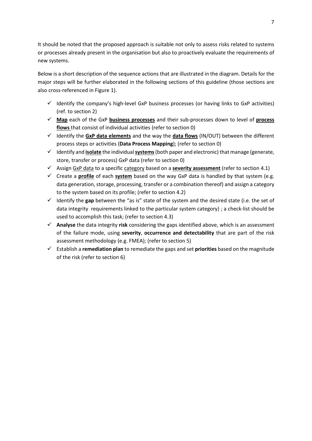It should be noted that the proposed approach is suitable not only to assess risks related to systems or processes already present in the organisation but also to proactively evaluate the requirements of new systems.

Below is a short description of the sequence actions that are illustrated in the diagram. Details for the major steps will be further elaborated in the following sections of this guideline (those sections are also cross-referenced in [Figure 1\)](#page-7-0).

- $\checkmark$  Identify the company's high-level GxP business processes (or having links to GxP activities) (ref. to section [2\)](#page-8-0)
- ✓ **Map** each of the GxP **business processes** and their sub-processes down to level of **process flows** that consist of individual activities (refer to section [0\)](#page-9-1)
- ✓ Identify the **GxP data elements** and the way the **data flows** (IN/OUT) between the different process steps or activities (**Data Process Mapping**); (refer to sectio[n 0\)](#page-9-1)
- ✓ Identify and **isolate** the individual **systems**(both paper and electronic) that manage (generate, store, transfer or process) GxP data (refer to section [0\)](#page-9-1)
- ✓ Assign GxP data to a specific category based on a **severity assessment** (refer to sectio[n 4.1\)](#page-10-1)
- ✓ Create a **profile** of each **system** based on the way GxP data is handled by that system (e.g. data generation, storage, processing, transfer or a combination thereof) and assign a category to the system based on its profile; (refer to section [4.2\)](#page-11-0)
- $\checkmark$  Identify the gap between the "as is" state of the system and the desired state (i.e. the set of data integrity requirements linked to the particular system category) ; a check-list should be used to accomplish this task; (refer to section [4.3\)](#page-16-0)
- ✓ **Analyse** the data integrity **risk** considering the gaps identified above, which is an assessment of the failure mode, using **severity**, **occurrence and detectability** that are part of the risk assessment methodology (e.g. FMEA); (refer to sectio[n 5\)](#page-32-0)
- ✓ Establish a **remediation plan** to remediate the gaps and set **priorities** based on the magnitude of the risk (refer to sectio[n 6\)](#page-35-0)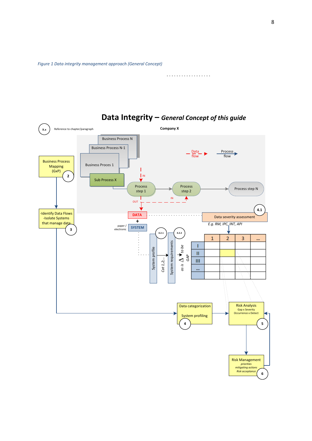<span id="page-7-0"></span>*Figure 1 Data integrity management approach (General Concept)*

. . . . . . . . . . . . . . . . . . .



**Data Integrity –** *General Concept of this guide*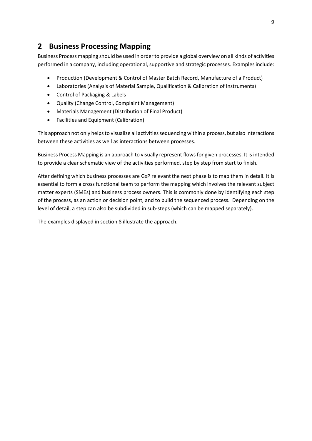# <span id="page-8-0"></span>**2 Business Processing Mapping**

Business Process mapping should be used in order to provide a global overview on all kinds of activities performed in a company, including operational, supportive and strategic processes. Examples include:

- Production (Development & Control of Master Batch Record, Manufacture of a Product)
- Laboratories (Analysis of Material Sample, Qualification & Calibration of Instruments)
- Control of Packaging & Labels
- Quality (Change Control, Complaint Management)
- Materials Management (Distribution of Final Product)
- Facilities and Equipment (Calibration)

This approach not only helps to visualize all activities sequencing within a process, but also interactions between these activities as well as interactions between processes.

Business Process Mapping is an approach to visually represent flows for given processes. It is intended to provide a clear schematic view of the activities performed, step by step from start to finish.

After defining which business processes are GxP relevantthe next phase is to map them in detail. It is essential to form a cross functional team to perform the mapping which involves the relevant subject matter experts (SMEs) and business process owners. This is commonly done by identifying each step of the process, as an action or decision point, and to build the sequenced process. Depending on the level of detail, a step can also be subdivided in sub-steps (which can be mapped separately).

The examples displayed in section [8](#page-38-0) illustrate the approach.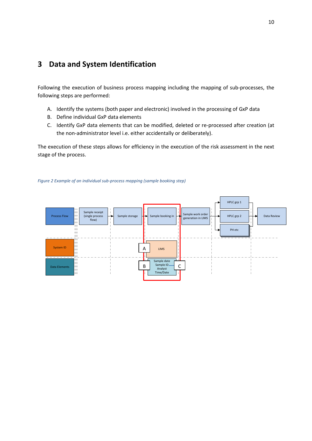# <span id="page-9-1"></span><span id="page-9-0"></span>**3 Data and System Identification**

Following the execution of business process mapping including the mapping of sub-processes, the following steps are performed:

- A. Identify the systems (both paper and electronic) involved in the processing of GxP data
- B. Define individual GxP data elements
- C. Identify GxP data elements that can be modified, deleted or re-processed after creation (at the non-administrator level i.e. either accidentally or deliberately).

The execution of these steps allows for efficiency in the execution of the risk assessment in the next stage of the process.



#### *Figure 2 Example of an individual sub-process mapping (sample booking step)*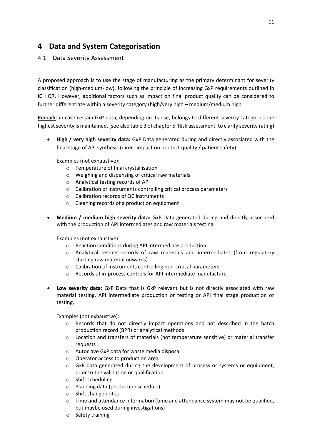# <span id="page-10-0"></span>**4 Data and System Categorisation**

# <span id="page-10-1"></span>4.1 Data Severity Assessment

A proposed approach is to use the stage of manufacturing as the primary determinant for severity classification (high-medium-low), following the principle of increasing GxP requirements outlined in ICH Q7. However, additional factors such as impact on final product quality can be considered to further differentiate within a severity category (high/very high – medium/medium high

Remark: in case certain GxP data, depending on its use, belongs to different severity categories the highest severity is maintained. (see also table 3 of chapter 5 'Risk assessment' to clarify severity rating)

• **High / very high severity data:** GxP Data generated during and directly associated with the final stage of API synthesis (direct impact on product quality / patient safety)

Examples (not exhaustive):

- o Temperature of final crystallisation
- o Weighing and dispensing of critical raw materials
- o Analytical testing records of API
- o Calibration of instruments controlling critical process parameters
- o Calibration records of QC instruments
- o Cleaning records of a production equipment
- **Medium / medium high severity data:** GxP Data generated during and directly associated with the production of API intermediates and raw materials testing.

Examples (not exhaustive):

- o Reaction conditions during API intermediate production
- o Analytical testing records of raw materials and intermediates (from regulatory starting raw material onwards)
- o Calibration of instruments controlling non-critical parameters
- o Records of in-process controls for API intermediate manufacture
- **Low severity data:** GxP Data that is GxP relevant but is not directly associated with raw material testing, API intermediate production or testing or API final stage production or testing.

Examples (not exhaustive):

- o Records that do not directly impact operations and not described in the batch production record (BPR) or analytical methods
- o Location and transfers of materials (not temperature sensitive) or material transfer requests
- o Autoclave GxP data for waste media disposal
- o Operator access to production area
- $\circ$  GxP data generated during the development of process or systems or equipment, prior to the validation or qualification
- o Shift scheduling
- o Planning data (production schedule)
- o Shift change notes
- $\circ$  Time and attendance information (time and attendance system may not be qualified, but maybe used during investigations)
- o Safety training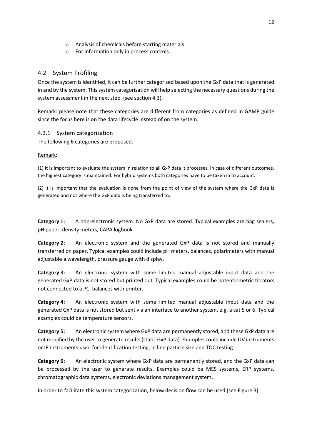- o Analysis of chemicals before starting materials
- o For information only in process controls

# <span id="page-11-0"></span>4.2 System Profiling

Once the system is identified, it can be further categorised based upon the GxP data that is generated in and by the system. This system categorisation will help selecting the necessary questions during the system assessment in the next step. (see section 4.3).

Remark: please note that these categories are different from categories as defined in GAMP guide since the focus here is on the data lifecycle instead of on the system.

# <span id="page-11-1"></span>4.2.1 System categorization

The following 6 categories are proposed.

# Remark:

(1) It is important to evaluate the system in relation to all GxP data it processes. In case of different outcomes, the highest category is maintained. For hybrid systems both categories have to be taken in to account.

(2) It is important that the evaluation is done from the point of view of the system where the GxP data is generated and not where the GxP data is being transferred to.

**Category 1:** A non-electronic system. No GxP data are stored. Typical examples are bag sealers, pH paper, density meters, CAPA logbook.

**Category 2:** An electronic system and the generated GxP data is not stored and manually transferred on paper. Typical examples could include pH meters, balances, polarimeters with manual adjustable a wavelength, pressure gauge with display.

**Category 3:** An electronic system with some limited manual adjustable input data and the generated GxP data is not stored but printed out. Typical examples could be potentiometric titrators not connected to a PC, balances with printer.

**Category 4:** An electronic system with some limited manual adjustable input data and the generated GxP data is not stored but sent via an interface to another system, e.g. a cat 5 or 6. Typical examples could be temperature sensors.

**Category 5:** An electronic system where GxP data are permanently stored, and these GxP data are not modified by the user to generate results (static GxP data). Examples could include UV instruments or IR instruments used for identification testing, in line particle size and TOC testing

**Category 6:** An electronic system where GxP data are permanently stored, and the GxP data can be processed by the user to generate results. Examples could be MES systems, ERP systems, chromatographic data systems, electronic deviations management system.

In order to facilitate this system categorization, below decision flow can be used (se[e Figure 3\)](#page-12-0).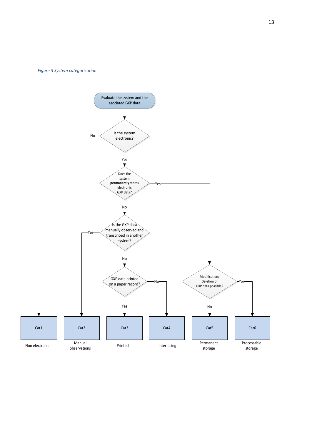<span id="page-12-0"></span>*Figure 3 System categorization*

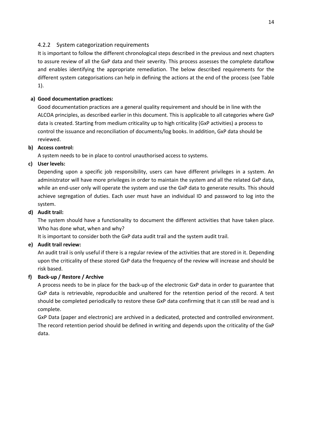# <span id="page-13-0"></span>4.2.2 System categorization requirements

It is important to follow the different chronological steps described in the previous and next chapters to assure review of all the GxP data and their severity. This process assesses the complete dataflow and enables identifying the appropriate remediation. The below described requirements for the different system categorisations can help in defining the actions at the end of the process (see [Table](#page-14-0)  [1\)](#page-14-0).

# **a) Good documentation practices:**

Good documentation practices are a general quality requirement and should be in line with the ALCOA principles, as described earlier in this document. This is applicable to all categories where GxP data is created. Starting from medium criticality up to high criticality (GxP activities) a process to control the issuance and reconciliation of documents/log books. In addition, GxP data should be reviewed.

# **b) Access control:**

A system needs to be in place to control unauthorised access to systems.

# **c) User levels:**

Depending upon a specific job responsibility, users can have different privileges in a system. An administrator will have more privileges in order to maintain the system and all the related GxP data, while an end-user only will operate the system and use the GxP data to generate results. This should achieve segregation of duties. Each user must have an individual ID and password to log into the system.

# **d) Audit trail:**

The system should have a functionality to document the different activities that have taken place. Who has done what, when and why?

It is important to consider both the GxP data audit trail and the system audit trail.

## **e) Audit trail review:**

An audit trail is only useful if there is a regular review of the activities that are stored in it. Depending upon the criticality of these stored GxP data the frequency of the review will increase and should be risk based.

# **f) Back-up / Restore / Archive**

A process needs to be in place for the back-up of the electronic GxP data in order to guarantee that GxP data is retrievable, reproducible and unaltered for the retention period of the record. A test should be completed periodically to restore these GxP data confirming that it can still be read and is complete.

GxP Data (paper and electronic) are archived in a dedicated, protected and controlled environment. The record retention period should be defined in writing and depends upon the criticality of the GxP data.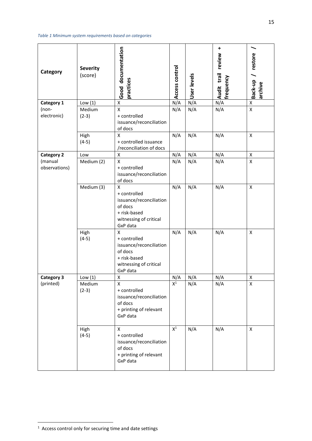<span id="page-14-0"></span>*Table 1 Minimum system requirements based on categories*

| Category                 | <b>Severity</b><br>(score) | Good documentation<br>practices                                                                                                | Access control | User<br>levels | $\ddot{}$<br>review<br>Audit trail<br>frequency | Back-up / restore<br>archive |
|--------------------------|----------------------------|--------------------------------------------------------------------------------------------------------------------------------|----------------|----------------|-------------------------------------------------|------------------------------|
| Category 1               | Low(1)                     | $\pmb{\mathsf{X}}$                                                                                                             | N/A            | N/A            | N/A                                             | $\pmb{\mathsf{X}}$           |
| (non-                    | Medium                     | $\overline{\mathsf{x}}$                                                                                                        | N/A            | N/A            | N/A                                             | $\mathsf X$                  |
| electronic)              | $(2-3)$                    | + controlled<br>issuance/reconciliation<br>of docs                                                                             |                |                |                                                 |                              |
|                          | High                       | X                                                                                                                              | N/A            | N/A            | N/A                                             | $\mathsf{x}$                 |
|                          | $(4-5)$                    | + controlled issuance<br>/reconciliation of docs                                                                               |                |                |                                                 |                              |
| <b>Category 2</b>        | Low                        | X                                                                                                                              | N/A            | N/A            | N/A                                             | X                            |
| (manual<br>observations) | Medium (2)                 | $\mathsf{\overline{X}}$<br>+ controlled<br>issuance/reconciliation<br>of docs                                                  | N/A            | N/A            | N/A                                             | X                            |
|                          | Medium (3)                 | $\pmb{\mathsf{X}}$<br>+ controlled<br>issuance/reconciliation<br>of docs<br>+ risk-based<br>witnessing of critical<br>GxP data | N/A            | N/A            | N/A                                             | $\pmb{\mathsf{X}}$           |
|                          | High<br>$(4-5)$            | X<br>+ controlled<br>issuance/reconciliation<br>of docs<br>+ risk-based<br>witnessing of critical<br>GxP data                  | N/A            | N/A            | N/A                                             | X                            |
| <b>Category 3</b>        | Low $(1)$                  | x                                                                                                                              | N/A            | N/A            | N/A                                             | X                            |
| (printed)                | Medium<br>$(2-3)$          | X<br>+ controlled<br>issuance/reconciliation<br>of docs<br>+ printing of relevant<br>GxP data                                  | $\mathsf{X}^1$ | N/A            | N/A                                             | X                            |
|                          | High<br>$(4-5)$            | X<br>+ controlled<br>issuance/reconciliation<br>of docs<br>+ printing of relevant<br>GxP data                                  | $X^1$          | N/A            | N/A                                             | $\pmb{\mathsf{X}}$           |

**THE CONCORD TEAM**<br>The Access control only for securing time and date settings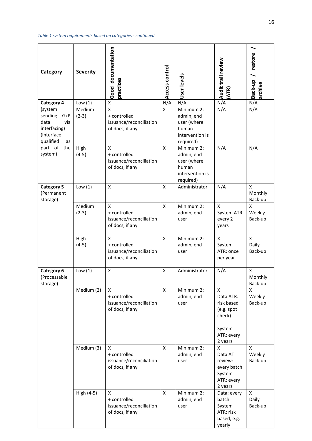*Table 1 system requirements based on categories - continued*

| Category                                                      | <b>Severity</b>                | Good documentation<br>practices                                                         | Access control     | User<br>levels                                                                   | Audit trail review<br><b>ATR)</b>                                                       | Back-up / restore<br>archive     |
|---------------------------------------------------------------|--------------------------------|-----------------------------------------------------------------------------------------|--------------------|----------------------------------------------------------------------------------|-----------------------------------------------------------------------------------------|----------------------------------|
| <b>Category 4</b><br>(system<br>sending<br>GxP<br>data<br>via | Low $(1)$<br>Medium<br>$(2-3)$ | X<br>$\mathsf{x}$<br>+ controlled<br>issuance/reconciliation                            | N/A<br>X           | N/A<br>Minimum 2:<br>admin, end<br>user (where                                   | N/A<br>N/A                                                                              | N/A<br>N/A                       |
| interfacing)<br>(interface<br>qualified<br>as                 |                                | of docs, if any                                                                         |                    | human<br>intervention is<br>required)                                            |                                                                                         |                                  |
| part of<br>the<br>system)                                     | High<br>$(4-5)$                | $\boldsymbol{\mathsf{X}}$<br>+ controlled<br>issuance/reconciliation<br>of docs, if any | X                  | Minimum 2:<br>admin, end<br>user (where<br>human<br>intervention is<br>required) | N/A                                                                                     | N/A                              |
| <b>Category 5</b><br>(Permanent<br>storage)                   | Low $(1)$                      | X                                                                                       | X                  | Administrator                                                                    | N/A                                                                                     | X<br>Monthly<br>Back-up          |
|                                                               | Medium<br>$(2-3)$              | X<br>+ controlled<br>issuance/reconciliation<br>of docs, if any                         | X                  | Minimum 2:<br>admin, end<br>user                                                 | X<br>System ATR<br>every 2<br>years                                                     | X<br>Weekly<br>Back-up           |
|                                                               | High<br>$(4-5)$                | $\boldsymbol{\mathsf{X}}$<br>+ controlled<br>issuance/reconciliation<br>of docs, if any | $\mathsf{x}$       | Minimum 2:<br>admin, end<br>user                                                 | $\mathsf{x}$<br>System<br>ATR: once<br>per year                                         | $\mathsf{x}$<br>Daily<br>Back-up |
| Category 6<br>(Processable<br>storage)                        | Low $(1)$                      | $\pmb{\mathsf{X}}$                                                                      | X                  | Administrator                                                                    | N/A                                                                                     | X<br>Monthly<br>Back-up          |
|                                                               | Medium (2)                     | X<br>+ controlled<br>issuance/reconciliation<br>of docs, if any                         | X                  | Minimum 2:<br>admin, end<br>user                                                 | X<br>Data ATR:<br>risk based<br>(e.g. spot<br>check)<br>System<br>ATR: every<br>2 years | X<br>Weekly<br>Back-up           |
|                                                               | Medium (3)                     | X<br>+ controlled<br>issuance/reconciliation<br>of docs, if any                         | X                  | Minimum 2:<br>admin, end<br>user                                                 | X<br>Data AT<br>review:<br>every batch<br>System<br>ATR: every<br>2 years               | X<br>Weekly<br>Back-up           |
|                                                               | High (4-5)                     | X<br>+ controlled<br>issuance/reconciliation<br>of docs, if any                         | $\pmb{\mathsf{X}}$ | Minimum 2:<br>admin, end<br>user                                                 | Data: every<br>batch<br>System<br>ATR: risk<br>based, e.g.<br>yearly                    | X<br>Daily<br>Back-up            |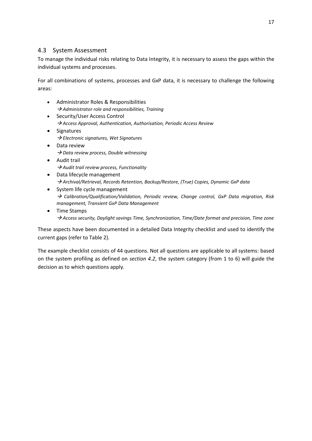# <span id="page-16-0"></span>4.3 System Assessment

To manage the individual risks relating to Data Integrity, it is necessary to assess the gaps within the individual systems and processes.

For all combinations of systems, processes and GxP data, it is necessary to challenge the following areas:

- Administrator Roles & Responsibilities → *Administrator role and responsibilities, Training*
- Security/User Access Control → *Access Approval, Authentication, Authorisation, Periodic Access Review*
- Signatures → *Electronic signatures, Wet Signatures*
- Data review → *Data review process, Double witnessing*
- Audit trail → *Audit trail review process, Functionality*
- Data lifecycle management → *Archival/Retrieval, Records Retention, Backup/Restore, (True) Copies, Dynamic GxP data*
- System life cycle management → *Calibration/Qualification/Validation, Periodic review, Change control, GxP Data migration, Risk management, Transient GxP Data Management*
- Time Stamps → *Access security, Daylight savings Time, Synchronization, Time/Date format and precision, Time zone*

These aspects have been documented in a detailed Data Integrity checklist and used to identify the current gaps (refer to [Table 2\)](#page-17-0).

The example checklist consists of 44 questions. Not all questions are applicable to all systems: based on the system profiling as defined on *section [4.2](#page-11-0)*, the system category (from 1 to 6) will guide the decision as to which questions apply.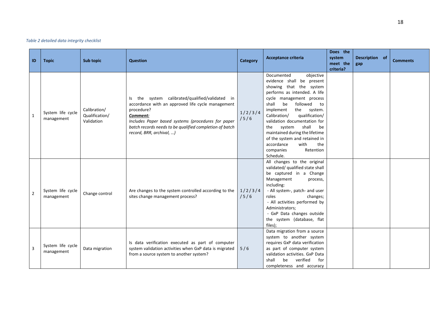#### *Table 2 detailed data integrity checklist*

<span id="page-17-0"></span>

| ID             | <b>Topic</b>                    | <b>Sub topic</b>                             | <b>Question</b>                                                                                                                                                                                                                                                             | <b>Category</b> | Acceptance criteria                                                                                                                                                                                                                                                                                                                                                                                                                               | Does the<br>system<br>meet the<br>criteria? | Description of<br>gap | <b>Comments</b> |
|----------------|---------------------------------|----------------------------------------------|-----------------------------------------------------------------------------------------------------------------------------------------------------------------------------------------------------------------------------------------------------------------------------|-----------------|---------------------------------------------------------------------------------------------------------------------------------------------------------------------------------------------------------------------------------------------------------------------------------------------------------------------------------------------------------------------------------------------------------------------------------------------------|---------------------------------------------|-----------------------|-----------------|
| $\mathbf{1}$   | System life cycle<br>management | Calibration/<br>Qualification/<br>Validation | Is the system calibrated/qualified/validated in<br>accordance with an approved life cycle management<br>procedure?<br>Comment:<br>Includes Paper based systems (procedures for paper<br>batch records needs to be qualified completion of batch<br>record, BRR, archival, ) | 1/2/3/4<br>/5/6 | Documented<br>objective<br>evidence shall be present<br>showing that the system<br>performs as intended. A life<br>cycle management process<br>shall<br>be<br>followed<br>to<br>implement<br>the system.<br>qualification/<br>Calibration/<br>validation documentation for<br>shall<br>system<br>be<br>the<br>maintained during the lifetime<br>of the system and retained in<br>accordance<br>with<br>the<br>companies<br>Retention<br>Schedule. |                                             |                       |                 |
| $\overline{2}$ | System life cycle<br>management | Change control                               | Are changes to the system controlled according to the<br>sites change management process?                                                                                                                                                                                   | 1/2/3/4<br>/5/6 | All changes to the original<br>validated/ qualified state shall<br>be captured in a Change<br>Management<br>process,<br>including:<br>- All system-, patch- and user<br>roles<br>changes;<br>- All activities performed by<br>Administrators;<br>- GxP Data changes outside<br>the system (database, flat<br>files);                                                                                                                              |                                             |                       |                 |
| 3              | System life cycle<br>management | Data migration                               | Is data verification executed as part of computer<br>system validation activities when GxP data is migrated<br>from a source system to another system?                                                                                                                      | 5/6             | Data migration from a source<br>system to another system<br>requires GxP data verification<br>as part of computer system<br>validation activities. GxP Data<br>verified<br>shall<br>be<br>for<br>completeness and accuracy                                                                                                                                                                                                                        |                                             |                       |                 |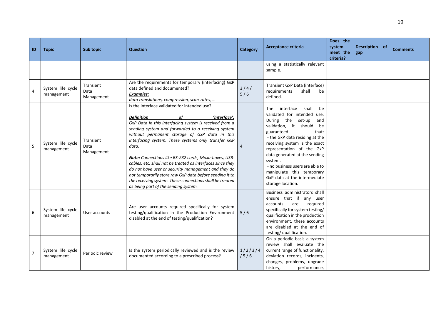|                |                                 |                                 |                                                                                                                                                                                                                                                                                                                                                                                                                                                                                                                                                                                                                                                                |                 |                                                                                                                                                                                                                                                                                                                                                                                                                   | Does the                        |                       |                 |
|----------------|---------------------------------|---------------------------------|----------------------------------------------------------------------------------------------------------------------------------------------------------------------------------------------------------------------------------------------------------------------------------------------------------------------------------------------------------------------------------------------------------------------------------------------------------------------------------------------------------------------------------------------------------------------------------------------------------------------------------------------------------------|-----------------|-------------------------------------------------------------------------------------------------------------------------------------------------------------------------------------------------------------------------------------------------------------------------------------------------------------------------------------------------------------------------------------------------------------------|---------------------------------|-----------------------|-----------------|
| ID             | <b>Topic</b>                    | Sub topic                       | <b>Question</b>                                                                                                                                                                                                                                                                                                                                                                                                                                                                                                                                                                                                                                                | <b>Category</b> | Acceptance criteria                                                                                                                                                                                                                                                                                                                                                                                               | system<br>meet the<br>criteria? | Description of<br>gap | <b>Comments</b> |
|                |                                 |                                 |                                                                                                                                                                                                                                                                                                                                                                                                                                                                                                                                                                                                                                                                |                 | using a statistically relevant<br>sample.                                                                                                                                                                                                                                                                                                                                                                         |                                 |                       |                 |
| 4              | System life cycle<br>management | Transient<br>Data<br>Management | Are the requirements for temporary (interfacing) GxP<br>data defined and documented?<br>Examples:<br>data translations, compression, scan-rates,                                                                                                                                                                                                                                                                                                                                                                                                                                                                                                               | $3/4/$<br>5/6   | Transient GxP Data (interface)<br>requirements<br>shall<br>be<br>defined.                                                                                                                                                                                                                                                                                                                                         |                                 |                       |                 |
| 5              | System life cycle<br>management | Transient<br>Data<br>Management | Is the interface validated for intended use?<br>of<br>'Interface':<br>Definition<br>GxP Data in this interfacing system is received from a<br>sending system and forwarded to a receiving system<br>without permanent storage of GxP data in this<br>interfacing system. These systems only transfer GxP<br>data.<br>Note: Connections like RS-232 cords, Moxa-boxes, USB-<br>cables, etc. shall not be treated as interfaces since they<br>do not have user or security management and they do<br>not temporarily store raw GxP data before sending it to<br>the receiving system. These connections shall be treated<br>as being part of the sending system. | 4               | interface<br>shall<br>The<br>be<br>validated for intended use.<br>During the set-up<br>and<br>validation, it should<br>be<br>guaranteed<br>that:<br>- the GxP data residing at the<br>receiving system is the exact<br>representation of the GxP<br>data generated at the sending<br>system.<br>- no business users are able to<br>manipulate this temporary<br>GxP data at the intermediate<br>storage location. |                                 |                       |                 |
| 6              | System life cycle<br>management | User accounts                   | Are user accounts required specifically for system<br>testing/qualification in the Production Environment<br>disabled at the end of testing/qualification?                                                                                                                                                                                                                                                                                                                                                                                                                                                                                                     | 5/6             | Business administrators shall<br>ensure that if any user<br>are<br>reguired<br>accounts<br>specifically for system testing/<br>qualification in the production<br>environment, these accounts<br>are disabled at the end of<br>testing/ qualification.                                                                                                                                                            |                                 |                       |                 |
| $\overline{7}$ | System life cycle<br>management | Periodic review                 | Is the system periodically reviewed and is the review<br>documented according to a prescribed process?                                                                                                                                                                                                                                                                                                                                                                                                                                                                                                                                                         | 1/2/3/4<br>/5/6 | On a periodic basis a system<br>review shall evaluate the<br>current range of functionality,<br>deviation records, incidents,<br>changes, problems, upgrade<br>history,<br>performance,                                                                                                                                                                                                                           |                                 |                       |                 |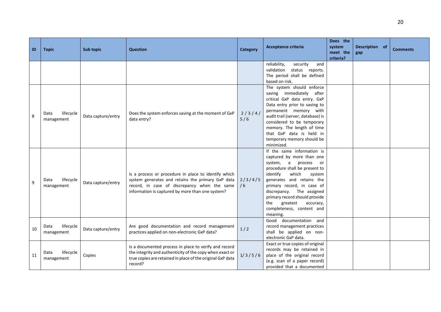| ID | <b>Topic</b>                    | Sub topic          | <b>Question</b>                                                                                                                                                                                               | <b>Category</b> | <b>Acceptance criteria</b>                                                                                                                                                                                                                                                                                                                           | Does the<br>system<br>meet the<br>criteria? | Description of<br>gap | <b>Comments</b> |
|----|---------------------------------|--------------------|---------------------------------------------------------------------------------------------------------------------------------------------------------------------------------------------------------------|-----------------|------------------------------------------------------------------------------------------------------------------------------------------------------------------------------------------------------------------------------------------------------------------------------------------------------------------------------------------------------|---------------------------------------------|-----------------------|-----------------|
|    |                                 |                    |                                                                                                                                                                                                               |                 | reliability,<br>security<br>and<br>validation status reports.<br>The period shall be defined<br>based on risk.                                                                                                                                                                                                                                       |                                             |                       |                 |
| 8  | lifecycle<br>Data<br>management | Data capture/entry | Does the system enforces saving at the moment of GxP<br>data entry?                                                                                                                                           | 2/3/4/<br>5/6   | The system should enforce<br>saving immediately after<br>critical GxP data entry. GxP<br>Data entry prior to saving to<br>permanent memory with<br>audit trail (server, database) is<br>considered to be temporary<br>memory. The length of time<br>that GxP data is held in<br>temporary memory should be<br>minimized.                             |                                             |                       |                 |
| 9  | lifecycle<br>Data<br>management | Data capture/entry | Is a process or procedure in place to identify which<br>system generates and retains the primary GxP data<br>record, in case of discrepancy when the same<br>information is captured by more than one system? | 2/3/4/5<br>/6   | If the same information is<br>captured by more than one<br>system, a<br>process or<br>procedure shall be present to<br>identify<br>which<br>system<br>generates and retains the<br>primary record, in case of<br>discrepancy. The assigned<br>primary record should provide<br>greatest<br>the<br>accuracy,<br>completeness, content and<br>meaning. |                                             |                       |                 |
| 10 | lifecycle<br>Data<br>management | Data capture/entry | Are good documentation and record management<br>practices applied on non-electronic GxP data?                                                                                                                 | 1/2             | Good documentation and<br>record management practices<br>shall be applied on non-<br>electronic GxP data.                                                                                                                                                                                                                                            |                                             |                       |                 |
| 11 | lifecycle<br>Data<br>management | Copies             | Is a documented process in place to verify and record<br>the integrity and authenticity of the copy when exact or<br>true copies are retained in place of the original GxP data<br>record?                    | 1/3/5/6         | Exact or true copies of original<br>records may be retained in<br>place of the original record<br>(e.g. scan of a paper record)<br>provided that a documented                                                                                                                                                                                        |                                             |                       |                 |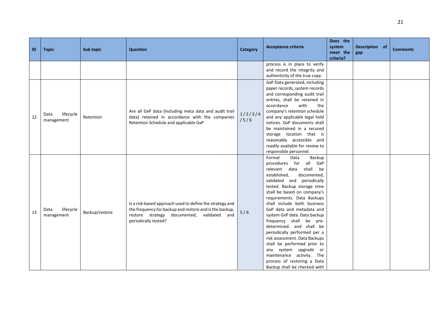| ID | <b>Topic</b>                    | Sub topic      | <b>Question</b>                                                                                                                                                                                    | Category        | Acceptance criteria                                                                                                                                                                                                                                                                                                                                                                                                                                                                                                                                                                                                       | Does the<br>system<br>meet the<br>criteria? | Description of<br>gap | <b>Comments</b> |
|----|---------------------------------|----------------|----------------------------------------------------------------------------------------------------------------------------------------------------------------------------------------------------|-----------------|---------------------------------------------------------------------------------------------------------------------------------------------------------------------------------------------------------------------------------------------------------------------------------------------------------------------------------------------------------------------------------------------------------------------------------------------------------------------------------------------------------------------------------------------------------------------------------------------------------------------------|---------------------------------------------|-----------------------|-----------------|
|    |                                 |                |                                                                                                                                                                                                    |                 | process is in place to verify<br>and record the integrity and<br>authenticity of the true copy.                                                                                                                                                                                                                                                                                                                                                                                                                                                                                                                           |                                             |                       |                 |
| 12 | lifecycle<br>Data<br>management | Retention      | Are all GxP data (Including meta data and audit trail<br>data) retained in accordance with the companies<br>Retention Schedule and applicable GxP                                                  | 1/2/3/4<br>/5/6 | GxP Data generated, including<br>paper records, system records<br>and corresponding audit trail<br>entries, shall be retained in<br>accordance<br>with<br>the<br>company's retention schedule<br>and any applicable legal hold<br>notices. GxP documents shall<br>be maintained in a secured<br>storage location that is<br>reasonably accessible and<br>readily available for review to<br>responsible personnel.                                                                                                                                                                                                        |                                             |                       |                 |
| 13 | lifecycle<br>Data<br>management | Backup/restore | Is a risk-based approach used to define the strategy and<br>the frequency for backup and restore and is the backup,<br>restore strategy<br>documented,<br>validated<br>and<br>periodically tested? | 5/6             | Backup<br>Formal<br>Data<br>procedures for<br>all GxP<br>shall<br>relevant<br>data<br>be<br>established,<br>documented,<br>validated and periodically<br>tested. Backup storage time<br>shall be based on company's<br>requirements. Data Backups<br>shall include both business<br>GxP data and metadata and<br>system GxP data. Data backup<br>frequency shall be pre-<br>determined. and shall be<br>periodically performed per a<br>risk assessment. Data Backups<br>shall be performed prior to<br>any system upgrade or<br>maintenance activity. The<br>process of restoring a Data<br>Backup shall be checked with |                                             |                       |                 |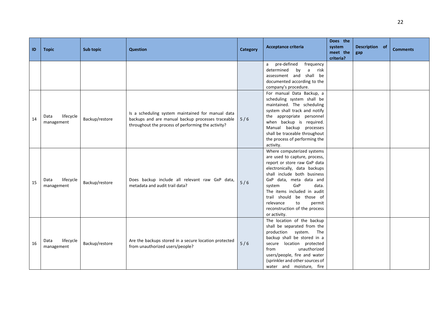| ID | <b>Topic</b>                    | Sub topic      | <b>Question</b>                                                                                                                                              | <b>Category</b> | <b>Acceptance criteria</b>                                                                                                                                                                                                                                                                                                                               | Does the<br>system<br>meet the<br>criteria? | Description of<br>gap | <b>Comments</b> |
|----|---------------------------------|----------------|--------------------------------------------------------------------------------------------------------------------------------------------------------------|-----------------|----------------------------------------------------------------------------------------------------------------------------------------------------------------------------------------------------------------------------------------------------------------------------------------------------------------------------------------------------------|---------------------------------------------|-----------------------|-----------------|
|    |                                 |                |                                                                                                                                                              |                 | pre-defined<br>frequency<br>a<br>determined<br>by<br>a<br>risk<br>assessment and shall be<br>documented according to the<br>company's procedure.                                                                                                                                                                                                         |                                             |                       |                 |
| 14 | lifecycle<br>Data<br>management | Backup/restore | Is a scheduling system maintained for manual data<br>backups and are manual backup processes traceable<br>throughout the process of performing the activity? | 5/6             | For manual Data Backup, a<br>scheduling system shall be<br>maintained. The scheduling<br>system shall track and notify<br>the appropriate personnel<br>when backup is required.<br>Manual backup processes<br>shall be traceable throughout<br>the process of performing the<br>activity.                                                                |                                             |                       |                 |
| 15 | lifecycle<br>Data<br>management | Backup/restore | Does backup include all relevant raw GxP data,<br>metadata and audit trail data?                                                                             | 5/6             | Where computerized systems<br>are used to capture, process,<br>report or store raw GxP data<br>electronically, data backups<br>shall include both business<br>GxP data, meta data and<br>GxP<br>data.<br>system<br>The items included in audit<br>trail should be those of<br>relevance<br>to<br>permit<br>reconstruction of the process<br>or activity. |                                             |                       |                 |
| 16 | lifecycle<br>Data<br>management | Backup/restore | Are the backups stored in a secure location protected<br>from unauthorized users/people?                                                                     | 5/6             | The location of the backup<br>shall be separated from the<br>production system. The<br>backup shall be stored in a<br>secure location protected<br>unauthorized<br>from<br>users/people, fire and water<br>(sprinkler and other sources of<br>water and moisture, fire                                                                                   |                                             |                       |                 |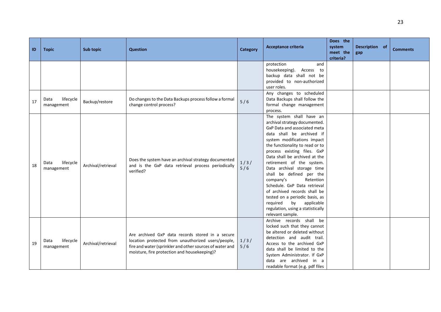| ID | <b>Topic</b>                    | Sub topic          | <b>Question</b>                                                                                                                                                                                                    | <b>Category</b> | Acceptance criteria                                                                                                                                                                                                                                                                                                                                                                                                                                                                                                                                               | Does the<br>system<br>meet the<br>criteria? | Description of<br>gap | <b>Comments</b> |
|----|---------------------------------|--------------------|--------------------------------------------------------------------------------------------------------------------------------------------------------------------------------------------------------------------|-----------------|-------------------------------------------------------------------------------------------------------------------------------------------------------------------------------------------------------------------------------------------------------------------------------------------------------------------------------------------------------------------------------------------------------------------------------------------------------------------------------------------------------------------------------------------------------------------|---------------------------------------------|-----------------------|-----------------|
|    |                                 |                    |                                                                                                                                                                                                                    |                 | protection<br>and<br>housekeeping).<br>Access to<br>backup data shall not be<br>provided to non-authorized<br>user roles.                                                                                                                                                                                                                                                                                                                                                                                                                                         |                                             |                       |                 |
| 17 | lifecycle<br>Data<br>management | Backup/restore     | Do changes to the Data Backups process follow a formal<br>change control process?                                                                                                                                  | 5/6             | Any changes to scheduled<br>Data Backups shall follow the<br>formal change management<br>process.                                                                                                                                                                                                                                                                                                                                                                                                                                                                 |                                             |                       |                 |
| 18 | lifecycle<br>Data<br>management | Archival/retrieval | Does the system have an archival strategy documented<br>and is the GxP data retrieval process periodically<br>verified?                                                                                            | 1/3/<br>5/6     | The system shall have an<br>archival strategy documented.<br>GxP Data and associated meta<br>data shall be archived if<br>system modifications impact<br>the functionality to read or to<br>process existing files. GxP<br>Data shall be archived at the<br>retirement of the system.<br>Data archival storage time<br>shall be defined per the<br>company's<br>Retention<br>Schedule, GxP Data retrieval<br>of archived records shall be<br>tested on a periodic basis, as<br>by applicable<br>required<br>regulation, using a statistically<br>relevant sample. |                                             |                       |                 |
| 19 | lifecycle<br>Data<br>management | Archival/retrieval | Are archived GxP data records stored in a secure<br>location protected from unauthorized users/people,<br>fire and water (sprinkler and other sources of water and<br>moisture, fire protection and housekeeping)? | 1/3/<br>5/6     | Archive records shall be<br>locked such that they cannot<br>be altered or deleted without<br>detection and audit trail.<br>Access to the archived GxP<br>data shall be limited to the<br>System Administrator. If GxP<br>data are archived in a<br>readable format (e.g. pdf files                                                                                                                                                                                                                                                                                |                                             |                       |                 |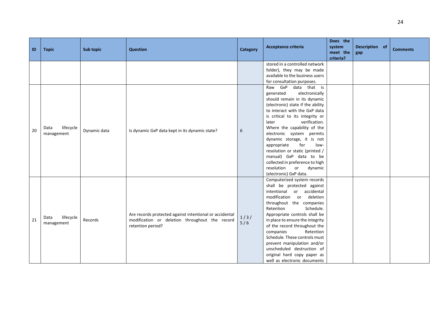| ID | <b>Topic</b>                    | <b>Sub topic</b> | <b>Question</b>                                                                                                                | <b>Category</b> | Acceptance criteria                                                                                                                                                                                                                                                                                                                                                                                                                                                                                     | Does the<br>system<br>meet the | Description of<br>gap | <b>Comments</b> |
|----|---------------------------------|------------------|--------------------------------------------------------------------------------------------------------------------------------|-----------------|---------------------------------------------------------------------------------------------------------------------------------------------------------------------------------------------------------------------------------------------------------------------------------------------------------------------------------------------------------------------------------------------------------------------------------------------------------------------------------------------------------|--------------------------------|-----------------------|-----------------|
|    |                                 |                  |                                                                                                                                |                 | stored in a controlled network<br>folder), they may be made<br>available to the business users<br>for consultation purposes.                                                                                                                                                                                                                                                                                                                                                                            | criteria?                      |                       |                 |
| 20 | lifecycle<br>Data<br>management | Dynamic data     | Is dynamic GxP data kept in its dynamic state?                                                                                 | 6               | Raw GxP data that is<br>generated<br>electronically<br>should remain in its dynamic<br>(electronic) state if the ability<br>to interact with the GxP data<br>is critical to its integrity or<br>verification.<br>later<br>Where the capability of the<br>electronic system permits<br>dynamic storage, it is not<br>appropriate<br>for<br>low-<br>resolution or static (printed /<br>manual) GxP data to be<br>collected in preference to high<br>resolution<br>or<br>dynamic<br>(electronic) GxP data. |                                |                       |                 |
| 21 | lifecycle<br>Data<br>management | Records          | Are records protected against intentional or accidental<br>modification or deletion throughout the record<br>retention period? | 1/3/<br>5/6     | Computerized system records<br>shall be protected against<br>intentional<br>or accidental<br>modification<br>deletion<br>or<br>throughout the companies<br>Schedule.<br>Retention<br>Appropriate controls shall be<br>in place to ensure the integrity<br>of the record throughout the<br>Retention<br>companies<br>Schedule. These controls must<br>prevent manipulation and/or<br>unscheduled destruction of<br>original hard copy paper as<br>well as electronic documents                           |                                |                       |                 |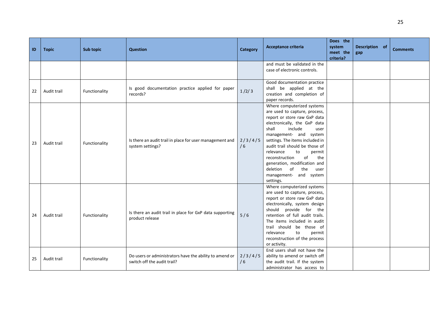| ID | <b>Topic</b> | Sub topic     | <b>Question</b>                                                                        | <b>Category</b> | Acceptance criteria                                                                                                                                                                                                                                                                                                                                                                                                        | Does the<br>system<br>meet the<br>criteria? | Description of<br>gap | <b>Comments</b> |
|----|--------------|---------------|----------------------------------------------------------------------------------------|-----------------|----------------------------------------------------------------------------------------------------------------------------------------------------------------------------------------------------------------------------------------------------------------------------------------------------------------------------------------------------------------------------------------------------------------------------|---------------------------------------------|-----------------------|-----------------|
|    |              |               |                                                                                        |                 | and must be validated in the<br>case of electronic controls.                                                                                                                                                                                                                                                                                                                                                               |                                             |                       |                 |
| 22 | Audit trail  | Functionality | Is good documentation practice applied for paper<br>records?                           | 1/2/3           | Good documentation practice<br>shall be applied at the<br>creation and completion of<br>paper records.                                                                                                                                                                                                                                                                                                                     |                                             |                       |                 |
| 23 | Audit trail  | Functionality | Is there an audit trail in place for user management and<br>system settings?           | 2/3/4/5<br>/6   | Where computerized systems<br>are used to capture, process,<br>report or store raw GxP data<br>electronically, the GxP data<br>shall<br>include<br>user<br>management- and system<br>settings. The items included in<br>audit trail should be those of<br>relevance<br>to<br>permit<br>of<br>the<br>reconstruction<br>generation, modification and<br>the<br>deletion<br>of<br>user<br>management- and system<br>settings. |                                             |                       |                 |
| 24 | Audit trail  | Functionality | Is there an audit trail in place for GxP data supporting<br>product release            | 5/6             | Where computerized systems<br>are used to capture, process,<br>report or store raw GxP data<br>electronically, system design<br>should provide for the<br>retention of full audit trails.<br>The items included in audit<br>trail should be those of<br>relevance<br>to<br>permit<br>reconstruction of the process<br>or activity.                                                                                         |                                             |                       |                 |
| 25 | Audit trail  | Functionality | Do users or administrators have the ability to amend or<br>switch off the audit trail? | 2/3/4/5<br>/6   | End users shall not have the<br>ability to amend or switch off<br>the audit trail. If the system<br>administrator has access to                                                                                                                                                                                                                                                                                            |                                             |                       |                 |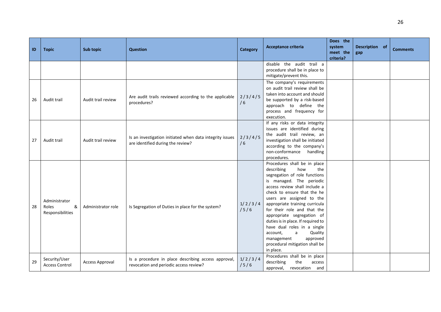| ID | <b>Topic</b>                                    | Sub topic              | <b>Question</b>                                                                               | Category        | Acceptance criteria                                                                                                                                                                                                                                                                                                                                                                                                                                                                         | Does the<br>system<br>meet the<br>criteria? | Description of<br>gap | <b>Comments</b> |
|----|-------------------------------------------------|------------------------|-----------------------------------------------------------------------------------------------|-----------------|---------------------------------------------------------------------------------------------------------------------------------------------------------------------------------------------------------------------------------------------------------------------------------------------------------------------------------------------------------------------------------------------------------------------------------------------------------------------------------------------|---------------------------------------------|-----------------------|-----------------|
|    |                                                 |                        |                                                                                               |                 | disable the audit trail a<br>procedure shall be in place to<br>mitigate/prevent this.                                                                                                                                                                                                                                                                                                                                                                                                       |                                             |                       |                 |
| 26 | Audit trail                                     | Audit trail review     | Are audit trails reviewed according to the applicable<br>procedures?                          | 2/3/4/5<br>/6   | The company's requirements<br>on audit trail review shall be<br>taken into account and should<br>be supported by a risk-based<br>approach to define the<br>process and frequency for<br>execution.                                                                                                                                                                                                                                                                                          |                                             |                       |                 |
| 27 | Audit trail                                     | Audit trail review     | Is an investigation initiated when data integrity issues<br>are identified during the review? | 2/3/4/5<br>/6   | If any risks or data integrity<br>issues are identified during<br>the audit trail review, an<br>investigation shall be initiated<br>according to the company's<br>non-conformance<br>handling<br>procedures.                                                                                                                                                                                                                                                                                |                                             |                       |                 |
| 28 | Administrator<br>&<br>Roles<br>Responsibilities | Administrator role     | Is Segregation of Duties in place for the system?                                             | 1/2/3/4<br>/5/6 | Procedures shall be in place<br>describing<br>how<br>the<br>segregation of role functions<br>is managed. The periodic<br>access review shall include a<br>check to ensure that the he<br>users are assigned to the<br>appropriate training curricula<br>for their role and that the<br>appropriate segregation of<br>duties is in place. If required to<br>have dual roles in a single<br>Quality<br>account,<br>a<br>approved<br>management<br>procedural mitigation shall be<br>in place. |                                             |                       |                 |
| 29 | Security/User<br><b>Access Control</b>          | <b>Access Approval</b> | Is a procedure in place describing access approval,<br>revocation and periodic access review? | 1/2/3/4<br>/5/6 | Procedures shall be in place<br>describing<br>the<br>access<br>approval, revocation and                                                                                                                                                                                                                                                                                                                                                                                                     |                                             |                       |                 |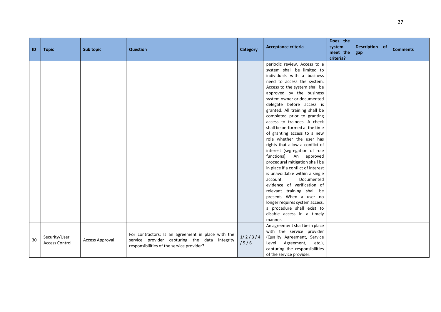| $\blacksquare$ | <b>Topic</b>                           | Sub topic              | <b>Question</b>                                                                                                                                  | <b>Category</b> | Acceptance criteria                                                                                                                                                                                                                                                                                                                                                                                                                                                                                                                                                                                                                                                                                                                                                                                                                                                               | Does the<br>system<br>meet the<br>criteria? | Description of<br>gap | <b>Comments</b> |
|----------------|----------------------------------------|------------------------|--------------------------------------------------------------------------------------------------------------------------------------------------|-----------------|-----------------------------------------------------------------------------------------------------------------------------------------------------------------------------------------------------------------------------------------------------------------------------------------------------------------------------------------------------------------------------------------------------------------------------------------------------------------------------------------------------------------------------------------------------------------------------------------------------------------------------------------------------------------------------------------------------------------------------------------------------------------------------------------------------------------------------------------------------------------------------------|---------------------------------------------|-----------------------|-----------------|
|                |                                        |                        |                                                                                                                                                  |                 | periodic review. Access to a<br>system shall be limited to<br>individuals with a business<br>need to access the system.<br>Access to the system shall be<br>approved by the business<br>system owner or documented<br>delegate before access is<br>granted. All training shall be<br>completed prior to granting<br>access to trainees. A check<br>shall be performed at the time<br>of granting access to a new<br>role whether the user has<br>rights that allow a conflict of<br>interest (segregation of role<br>functions). An approved<br>procedural mitigation shall be<br>in place if a conflict of interest<br>is unavoidable within a single<br>Documented<br>account.<br>evidence of verification of<br>relevant training shall be<br>present. When a user no<br>longer requires system access,<br>a procedure shall exist to<br>disable access in a timely<br>manner. |                                             |                       |                 |
| 30             | Security/User<br><b>Access Control</b> | <b>Access Approval</b> | For contractors; Is an agreement in place with the<br>service provider capturing the data integrity<br>responsibilities of the service provider? | 1/2/3/4<br>/5/6 | An agreement shall be in place<br>with the service provider<br>(Quality Agreement, Service<br>Level<br>Agreement,<br>etc.),<br>capturing the responsibilities<br>of the service provider.                                                                                                                                                                                                                                                                                                                                                                                                                                                                                                                                                                                                                                                                                         |                                             |                       |                 |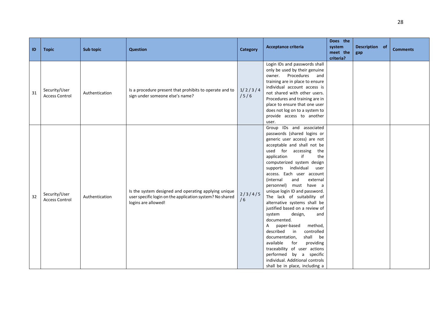|    |                                        |                |                                                                                                                                         |                 |                                                                                                                                                                                                                                                                                                                                                                                                                                                                                                                                                                                                                                                                                                                                                                             | Does the  |                |                 |
|----|----------------------------------------|----------------|-----------------------------------------------------------------------------------------------------------------------------------------|-----------------|-----------------------------------------------------------------------------------------------------------------------------------------------------------------------------------------------------------------------------------------------------------------------------------------------------------------------------------------------------------------------------------------------------------------------------------------------------------------------------------------------------------------------------------------------------------------------------------------------------------------------------------------------------------------------------------------------------------------------------------------------------------------------------|-----------|----------------|-----------------|
| ID | <b>Topic</b>                           | Sub topic      | <b>Question</b>                                                                                                                         | <b>Category</b> | Acceptance criteria                                                                                                                                                                                                                                                                                                                                                                                                                                                                                                                                                                                                                                                                                                                                                         | system    | Description of | <b>Comments</b> |
|    |                                        |                |                                                                                                                                         |                 |                                                                                                                                                                                                                                                                                                                                                                                                                                                                                                                                                                                                                                                                                                                                                                             | meet the  | gap            |                 |
| 31 | Security/User<br><b>Access Control</b> | Authentication | Is a procedure present that prohibits to operate and to                                                                                 | 1/2/3/4<br>/5/6 | Login IDs and passwords shall<br>only be used by their genuine<br>owner. Procedures and<br>training are in place to ensure<br>individual account access is                                                                                                                                                                                                                                                                                                                                                                                                                                                                                                                                                                                                                  | criteria? |                |                 |
|    |                                        |                | sign under someone else's name?                                                                                                         |                 | not shared with other users.<br>Procedures and training are in<br>place to ensure that one user<br>does not log on to a system to<br>provide access to another<br>user.                                                                                                                                                                                                                                                                                                                                                                                                                                                                                                                                                                                                     |           |                |                 |
| 32 | Security/User<br><b>Access Control</b> | Authentication | Is the system designed and operating applying unique<br>user specific login on the application system? No shared<br>logins are allowed! | 2/3/4/5<br>/6   | Group IDs and associated<br>passwords (shared logins or<br>generic user access) are not<br>acceptable and shall not be<br>used for accessing the<br>if<br>application<br>the<br>computerized system design<br>supports individual<br>user<br>access. Each user account<br>(internal<br>and<br>external<br>personnel) must have a<br>unique login ID and password.<br>The lack of suitability of<br>alternative systems shall be<br>justified based on a review of<br>design,<br>system<br>and<br>documented.<br>paper-based<br>method,<br>A<br>described<br>in<br>controlled<br>shall be<br>documentation,<br>available<br>for<br>providing<br>traceability of user actions<br>performed by a specific<br>individual. Additional controls<br>shall be in place, including a |           |                |                 |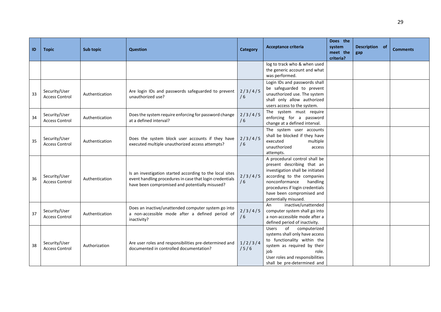| ID | <b>Topic</b>                           | Sub topic      | <b>Question</b>                                                                                                                                                        | Category        | <b>Acceptance criteria</b>                                                                                                                                                                                                                          | Does the<br>system<br>meet the<br>criteria? | Description of<br>gap | <b>Comments</b> |
|----|----------------------------------------|----------------|------------------------------------------------------------------------------------------------------------------------------------------------------------------------|-----------------|-----------------------------------------------------------------------------------------------------------------------------------------------------------------------------------------------------------------------------------------------------|---------------------------------------------|-----------------------|-----------------|
|    |                                        |                |                                                                                                                                                                        |                 | log to track who & when used<br>the generic account and what<br>was performed.                                                                                                                                                                      |                                             |                       |                 |
| 33 | Security/User<br><b>Access Control</b> | Authentication | Are login IDs and passwords safeguarded to prevent<br>unauthorized use?                                                                                                | 2/3/4/5<br>/6   | Login IDs and passwords shall<br>be safeguarded to prevent<br>unauthorized use. The system<br>shall only allow authorized<br>users access to the system.                                                                                            |                                             |                       |                 |
| 34 | Security/User<br><b>Access Control</b> | Authentication | Does the system require enforcing for password change<br>at a defined interval?                                                                                        | 2/3/4/5<br>/6   | The system must require<br>enforcing for a password<br>change at a defined interval.                                                                                                                                                                |                                             |                       |                 |
| 35 | Security/User<br><b>Access Control</b> | Authentication | Does the system block user accounts if they have<br>executed multiple unauthorized access attempts?                                                                    | 2/3/4/5<br>/6   | The system user accounts<br>shall be blocked if they have<br>executed<br>multiple<br>unauthorized<br>access<br>attempts.                                                                                                                            |                                             |                       |                 |
| 36 | Security/User<br><b>Access Control</b> | Authentication | Is an investigation started according to the local sites<br>event handling procedures in case that login credentials<br>have been compromised and potentially misused? | 2/3/4/5<br>/6   | A procedural control shall be<br>present describing that an<br>investigation shall be initiated<br>according to the companies<br>nonconformance<br>handling<br>procedures if login credentials<br>have been compromised and<br>potentially misused. |                                             |                       |                 |
| 37 | Security/User<br><b>Access Control</b> | Authentication | Does an inactive/unattended computer system go into<br>a non-accessible mode after a defined period of<br>inactivity?                                                  | 2/3/4/5<br>/6   | inactive/unattended<br>An<br>computer system shall go into<br>a non-accessible mode after a<br>defined period of inactivity.                                                                                                                        |                                             |                       |                 |
| 38 | Security/User<br><b>Access Control</b> | Authorization  | Are user roles and responsibilities pre-determined and<br>documented in controlled documentation?                                                                      | 1/2/3/4<br>/5/6 | of<br><b>Users</b><br>computerized<br>systems shall only have access<br>to functionality within the<br>system as required by their<br>job<br>role.<br>User roles and responsibilities<br>shall be pre-determined and                                |                                             |                       |                 |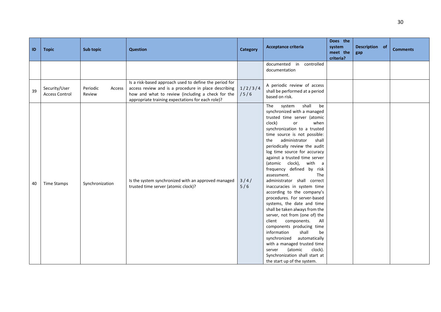| ID | <b>Topic</b>                           | <b>Sub topic</b>             | <b>Question</b>                                                                                                                                                                                                          | Category        | Acceptance criteria                                                                                                                                                                                                                                                                                                                                                                                                                                                                                                                                                                                                                                                                                                                                                                                                                                                                      | Does the<br>system<br>meet the<br>criteria? | Description of<br>gap | <b>Comments</b> |
|----|----------------------------------------|------------------------------|--------------------------------------------------------------------------------------------------------------------------------------------------------------------------------------------------------------------------|-----------------|------------------------------------------------------------------------------------------------------------------------------------------------------------------------------------------------------------------------------------------------------------------------------------------------------------------------------------------------------------------------------------------------------------------------------------------------------------------------------------------------------------------------------------------------------------------------------------------------------------------------------------------------------------------------------------------------------------------------------------------------------------------------------------------------------------------------------------------------------------------------------------------|---------------------------------------------|-----------------------|-----------------|
|    |                                        |                              |                                                                                                                                                                                                                          |                 | in controlled<br>documented<br>documentation                                                                                                                                                                                                                                                                                                                                                                                                                                                                                                                                                                                                                                                                                                                                                                                                                                             |                                             |                       |                 |
| 39 | Security/User<br><b>Access Control</b> | Periodic<br>Access<br>Review | Is a risk-based approach used to define the period for<br>access review and is a procedure in place describing<br>how and what to review (including a check for the<br>appropriate training expectations for each role)? | 1/2/3/4<br>/5/6 | A periodic review of access<br>shall be performed at a period<br>based on risk.                                                                                                                                                                                                                                                                                                                                                                                                                                                                                                                                                                                                                                                                                                                                                                                                          |                                             |                       |                 |
| 40 | <b>Time Stamps</b>                     | Synchronization              | Is the system synchronized with an approved managed<br>trusted time server (atomic clock)?                                                                                                                               | $3/4/$<br>5/6   | shall<br>be<br>The<br>system<br>synchronized with a managed<br>trusted time server (atomic<br>clock)<br>when<br>or<br>synchronization to a trusted<br>time source is not possible:<br>administrator<br>shall<br>the<br>periodically review the audit<br>log time source for accuracy<br>against a trusted time server<br>(atomic clock), with a<br>frequency defined by risk<br>assessment.<br>The<br>administrator shall correct<br>inaccuracies in system time<br>according to the company's<br>procedures. For server-based<br>systems, the date and time<br>shall be taken always from the<br>server, not from (one of) the<br>client components.<br>All<br>components producing time<br>shall<br>information<br>be<br>synchronized<br>automatically<br>with a managed trusted time<br>(atomic<br>clock).<br>server<br>Synchronization shall start at<br>the start up of the system. |                                             |                       |                 |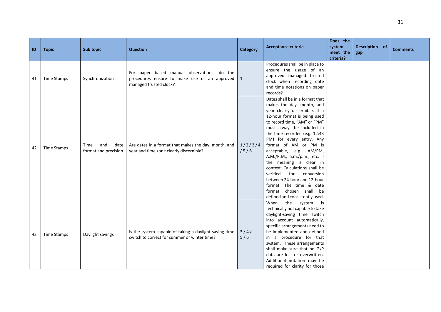| ID | <b>Topic</b>       | Sub topic                                   | <b>Question</b>                                                                                                       | <b>Category</b> | <b>Acceptance criteria</b>                                                                                                                                                                                                                                                                                                                                                                                                                                                                                                                                         | Does the<br>system<br>meet the<br>criteria? | Description of<br>gap | <b>Comments</b> |
|----|--------------------|---------------------------------------------|-----------------------------------------------------------------------------------------------------------------------|-----------------|--------------------------------------------------------------------------------------------------------------------------------------------------------------------------------------------------------------------------------------------------------------------------------------------------------------------------------------------------------------------------------------------------------------------------------------------------------------------------------------------------------------------------------------------------------------------|---------------------------------------------|-----------------------|-----------------|
| 41 | <b>Time Stamps</b> | Synchronization                             | For paper based manual observations: do the<br>procedures ensure to make use of an approved<br>managed trusted clock? | $\mathbf{1}$    | Procedures shall be in place to<br>ensure the usage of an<br>approved managed trusted<br>clock when recording date<br>and time notations on paper<br>records?                                                                                                                                                                                                                                                                                                                                                                                                      |                                             |                       |                 |
| 42 | <b>Time Stamps</b> | and<br>Time<br>date<br>format and precision | Are dates in a format that makes the day, month, and<br>year and time zone clearly discernible?                       | 1/2/3/4<br>/5/6 | Dates shall be in a format that<br>makes the day, month, and<br>year clearly discernible. If a<br>12-hour format is being used<br>to record time, "AM" or "PM"<br>must always be included in<br>the time recorded (e.g. 12:43<br>PM) for every entry. Any<br>format of AM or PM is<br>acceptable, e.g. AM/PM,<br>A.M./P.M., a.m./p.m., etc. if<br>the meaning is clear in<br>context. Calculations shall be<br>verified<br>for<br>conversion<br>between 24-hour and 12-hour<br>format. The time & date<br>format chosen shall be<br>defined and consistently used. |                                             |                       |                 |
| 43 | Time Stamps        | Daylight savings                            | Is the system capable of taking a daylight-saving time<br>switch to correct for summer or winter time?                | $3/4/$<br>5/6   | the system<br>When<br>is<br>technically not capable to take<br>daylight-saving time switch<br>into account automatically,<br>specific arrangements need to<br>be implemented and defined<br>in a procedure for that<br>system. These arrangements<br>shall make sure that no GxP<br>data are lost or overwritten.<br>Additional notation may be<br>required for clarity for those                                                                                                                                                                                  |                                             |                       |                 |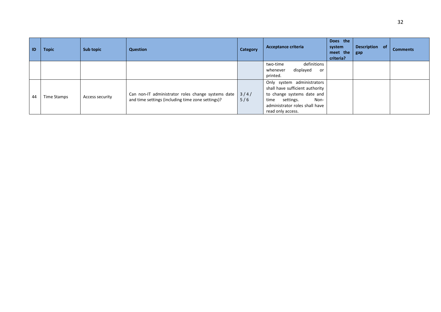| ID | <b>Topic</b> | Sub topic       | <b>Question</b>                                                                                         | Category    | Acceptance criteria                                                                                                                                                             | Does the<br>system<br>meet the<br>criteria? | Description of<br>gap | <b>Comments</b> |
|----|--------------|-----------------|---------------------------------------------------------------------------------------------------------|-------------|---------------------------------------------------------------------------------------------------------------------------------------------------------------------------------|---------------------------------------------|-----------------------|-----------------|
|    |              |                 |                                                                                                         |             | definitions<br>two-time<br>displayed<br>whenever<br>or<br>printed.                                                                                                              |                                             |                       |                 |
| 44 | Time Stamps  | Access security | Can non-IT administrator roles change systems date<br>and time settings (including time zone settings)? | 3/4/<br>5/6 | Only system administrators<br>shall have sufficient authority<br>to change systems date and<br>time<br>settings.<br>Non-<br>administrator roles shall have<br>read only access. |                                             |                       |                 |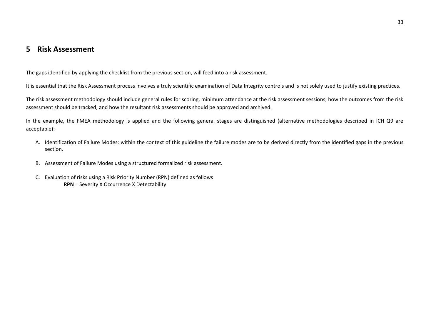# **5 Risk Assessment**

The gaps identified by applying the checklist from the previous section, will feed into a risk assessment.

It is essential that the Risk Assessment process involves a truly scientific examination of Data Integrity controls and is not solely used to justify existing practices.

The risk assessment methodology should include general rules for scoring, minimum attendance at the risk assessment sessions, how the outcomes from the risk assessment should be tracked, and how the resultant risk assessments should be approved and archived.

In the example, the FMEA methodology is applied and the following general stages are distinguished (alternative methodologies described in ICH Q9 are acceptable):

- A. Identification of Failure Modes: within the context of this guideline the failure modes are to be derived directly from the identified gaps in the previous section.
- <span id="page-32-0"></span>B. Assessment of Failure Modes using a structured formalized risk assessment.
- C. Evaluation of risks using a Risk Priority Number (RPN) defined as follows **RPN** = Severity X Occurrence X Detectability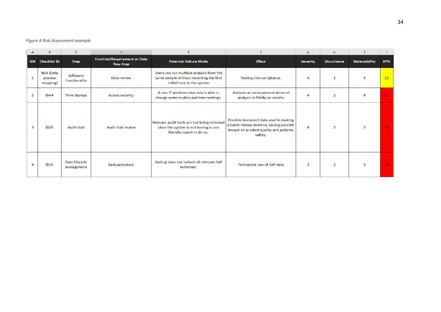#### *Figure 4 Risk Assessment example*

| Α                        | B                                |                              | D                                                |                                                                                                                    |                                                                                                                                           | G               | H.             |                      |                 |
|--------------------------|----------------------------------|------------------------------|--------------------------------------------------|--------------------------------------------------------------------------------------------------------------------|-------------------------------------------------------------------------------------------------------------------------------------------|-----------------|----------------|----------------------|-----------------|
| ID#                      | <b>Checklist ID</b>              | <b>Step</b>                  | <b>Function/Requirement or Data</b><br>flow Step | <b>Potential Failure Mode</b>                                                                                      | <b>Effect</b>                                                                                                                             | <b>Severity</b> | Occurrence     | <b>Detectability</b> | <b>RPN</b>      |
| 1                        | N/A (Data<br>process<br>mapping) | Software:<br>functionality   | Data review                                      | Users can run multiple analysis from the<br>same sample without recording the first<br>initial runs in the system  | Testing into compliance.                                                                                                                  | 4               |                |                      | 16              |
| $\overline{2}$           | <b>ID44</b>                      | <b>Time Stamps</b>           | <b>Access security</b>                           | A non-IT administrator role is able to<br>change systems date and time settings.                                   | Analyst can misrepresent times of<br>analysis to falsify on results.                                                                      | 4               | $\overline{2}$ |                      | 32 <sub>1</sub> |
| $\overline{3}$           | <b>ID26</b>                      | Audit trail                  | Audit trail review                               | Relevant audit trails are not being reviewed<br>since the system is not having a user<br>friendly report to do so. | Possible inccorrect data used in making<br>a batch release desicion, having possible<br>impact on product quality and patients<br>safety. | 4               | 3              | 3                    | 36              |
| $\boldsymbol{\varDelta}$ | <b>ID15</b>                      | Data lifecycle<br>management | Backup/restore                                   | Backup does not include all relevant GxP<br>metadata.                                                              | Permanent loss of GxP data                                                                                                                | 3               | $\overline{2}$ | 3                    | 18              |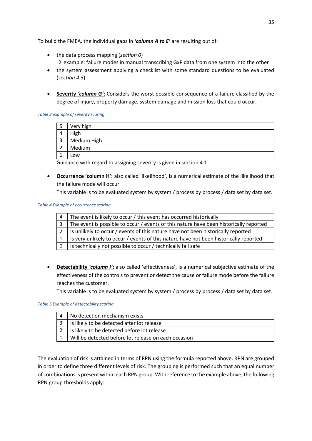To build the FMEA, the individual gaps in *'column A to E'* are resulting out of:

- the data process mapping (*sectio[n 0](#page-9-1)*)  $\rightarrow$  example: failure modes in manual transcribing GxP data from one system into the other
- the system assessment applying a checklist with some standard questions to be evaluated (*sectio[n 4.3](#page-16-0)*)
- **Severity** *'column G'***:** Considers the worst possible consequence of a failure classified by the degree of injury, property damage, system damage and mission loss that could occur.

#### *Table 3 example of severity scoring*

| 5  | Very high   |
|----|-------------|
|    | High        |
| 3  | Medium High |
| ົາ | Medium      |
|    | Low         |

Guidance with regard to assigning severity is given in section [4.1](#page-10-1)

• **Occurrence 'column H':** also called 'likelihood', is a numerical estimate of the likelihood that the failure mode will occur

This variable is to be evaluated system by system / process by process / data set by data set.

#### *Table 4 Example of occurrence scoring*

| $\overline{4}$ | The event is likely to occur / this event has occurred historically                       |
|----------------|-------------------------------------------------------------------------------------------|
| 3              | The event is possible to occur / events of this nature have been historically reported    |
|                | 2   Is unlikely to occur / events of this nature have not been historically reported      |
|                | 1   Is very unlikely to occur / events of this nature have not been historically reported |
|                | 0   Is technically not possible to occur / technically fail safe                          |

• **Detectability** *'column I'***:** also called 'effectiveness', is a numerical subjective estimate of the effectiveness of the controls to prevent or detect the cause or failure mode before the failure reaches the customer.

This variable is to be evaluated system by system / process by process / data set by data set.

#### *Table 5 Example of detectability scoring*

|   | l No detection mechanism exists                      |
|---|------------------------------------------------------|
| 3 | Is likely to be detected after lot release           |
|   | Is likely to be detected before lot release          |
|   | Will be detected before lot release on each occasion |

The evaluation of risk is attained in terms of RPN using the formula reported above. RPN are grouped in order to define three different levels of risk. The grouping is performed such that an equal number of combinations is present within each RPN group. With reference to the example above, the following RPN group thresholds apply: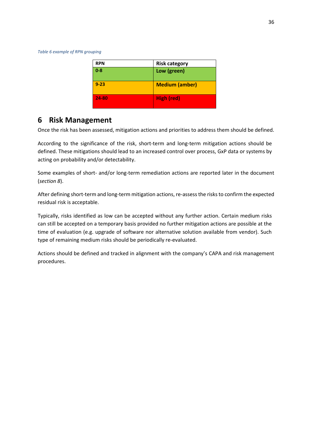*Table 6 example of RPN grouping*

| <b>RPN</b> | <b>Risk category</b>  |
|------------|-----------------------|
| $0 - 8$    | Low (green)           |
| $9 - 23$   | <b>Medium (amber)</b> |
| 24-80      | High (red)            |

# <span id="page-35-0"></span>**6 Risk Management**

Once the risk has been assessed, mitigation actions and priorities to address them should be defined.

According to the significance of the risk, short-term and long-term mitigation actions should be defined. These mitigations should lead to an increased control over process, GxP data or systems by acting on probability and/or detectability.

Some examples of short- and/or long-term remediation actions are reported later in the document (*sectio[n 8](#page-38-0)*).

After defining short-term and long-term mitigation actions, re-assessthe risks to confirm the expected residual risk is acceptable.

Typically, risks identified as low can be accepted without any further action. Certain medium risks can still be accepted on a temporary basis provided no further mitigation actions are possible at the time of evaluation (e.g. upgrade of software nor alternative solution available from vendor). Such type of remaining medium risks should be periodically re-evaluated.

Actions should be defined and tracked in alignment with the company's CAPA and risk management procedures.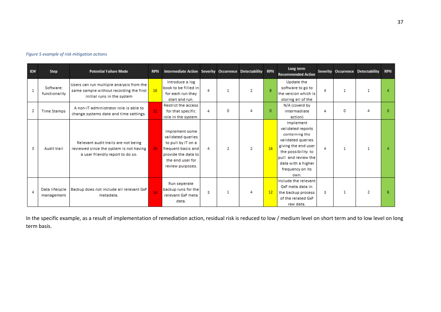| ID# | <b>Step</b>                  | <b>Potential Failure Mode</b>                                                                                      | <b>RPN</b>      | Intermediate Action Severity Occurrence Detectability RPN                                                                                      |   |   |                |              | Long term<br><b>Recommended Action</b>                                                                                                                                                      |   |   | Severity Occurrence Detectability | <b>RPN</b> |
|-----|------------------------------|--------------------------------------------------------------------------------------------------------------------|-----------------|------------------------------------------------------------------------------------------------------------------------------------------------|---|---|----------------|--------------|---------------------------------------------------------------------------------------------------------------------------------------------------------------------------------------------|---|---|-----------------------------------|------------|
|     | Software:<br>functionality   | Users can run multiple analysis from the<br>same sample without recording the first<br>initial runs in the system  | 16              | Introduce a log<br>book to be filled in<br>for each run they<br>start and run.                                                                 |   |   | 2              | $\mathbf{R}$ | Update the<br>software to go to<br>the version which is<br>storing all of the                                                                                                               | 4 |   |                                   |            |
| 2   | <b>Time Stamps</b>           | A non-IT administrator role is able to<br>change systems date and time settings.                                   | 32 <sub>1</sub> | Restrict the access<br>for that specific<br>role in the system.                                                                                | 4 | o | 4              | $\bf{0}$     | N/A (coverd by<br>intermadiate<br>action)                                                                                                                                                   | 4 | 0 | Δ                                 | $\Omega$   |
| з   | <b>Audit trail</b>           | Relevant audit trails are not being<br>reviewed since the system is not having<br>a user friendly report to do so. | 36 <sub>1</sub> | Implement some<br>validated queries<br>to pull by IT on a<br>frequent basis and<br>provide the data to<br>the end user for<br>review purposes. | 4 |   | $\overline{2}$ | 16           | Implement<br>validated reports<br>containing the<br>validated queries<br>giving the end user<br>the possibility to<br>pull and review the<br>data with a higher<br>frequency on its<br>own. | 4 |   |                                   |            |
| 4   | Data lifecycle<br>management | Backup does not include all relevant GxP<br>metadata.                                                              | 18              | Run seperate<br>backup runs for the<br>relevant GxP meta<br>data.                                                                              | з |   | 4              | 12           | Include the relevant<br>GxP meta data in<br>the backup process<br>of the related GxP<br>raw data.                                                                                           | з |   | 2                                 | 6          |

#### *Figure 5 example of risk mitigation actions*

In the specific example, as a result of implementation of remediation action, residual risk is reduced to low / medium level on short term and to low level on long term basis.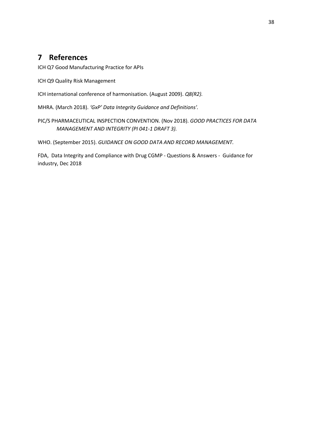# <span id="page-37-0"></span>**7 References**

ICH Q7 Good Manufacturing Practice for APIs

ICH Q9 Quality Risk Management

ICH international conference of harmonisation. (August 2009). *Q8(R2).*

MHRA. (March 2018). *'GxP' Data Integrity Guidance and Definitions'.*

PIC/S PHARMACEUTICAL INSPECTION CONVENTION. (Nov 2018). *GOOD PRACTICES FOR DATA MANAGEMENT AND INTEGRITY (PI 041-1 DRAFT 3).*

WHO. (September 2015). *GUIDANCE ON GOOD DATA AND RECORD MANAGEMENT.*

FDA, Data Integrity and Compliance with Drug CGMP - Questions & Answers - Guidance for industry, Dec 2018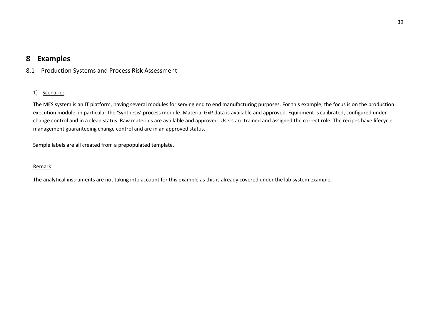# **8 Examples**

8.1 Production Systems and Process Risk Assessment

# 1) Scenario:

The MES system is an IT platform, having several modules for serving end to end manufacturing purposes. For this example, the focus is on the production execution module, in particular the 'Synthesis' process module. Material GxP data is available and approved. Equipment is calibrated, configured under change control and in a clean status. Raw materials are available and approved. Users are trained and assigned the correct role. The recipes have lifecycle management guaranteeing change control and are in an approved status.

Sample labels are all created from a prepopulated template.

### Remark:

<span id="page-38-1"></span><span id="page-38-0"></span>The analytical instruments are not taking into account for this example as this is already covered under the lab system example.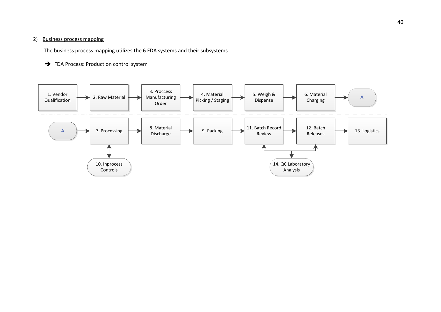### 2) Business process mapping

The business process mapping utilizes the 6 FDA systems and their subsystems

## → FDA Process: Production control system

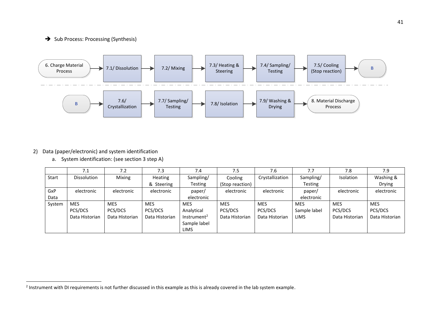# ➔ Sub Process: Processing (Synthesis)



# 2) Data (paper/electronic) and system identification

 $\ddot{\phantom{a}}$ 

a. System identification: (see section 3 step A)

|        | 7.1                | 7.2            | 7.3            | 7.4                     | 7.5             | 7.6             | 7.7          | 7.8            | 7.9            |
|--------|--------------------|----------------|----------------|-------------------------|-----------------|-----------------|--------------|----------------|----------------|
| Start  | <b>Dissolution</b> | Mixing         | Heating        | Sampling/               | Cooling         | Crystallization | Sampling/    | Isolation      | Washing &      |
|        |                    |                | & Steering     | Testing                 | (Stop reaction) |                 | Testing      |                | <b>Drying</b>  |
| GxP    | electronic         | electronic     | electronic     | paper/                  | electronic      | electronic      | paper/       | electronic     | electronic     |
| Data   |                    |                |                | electronic              |                 |                 | electronic   |                |                |
| System | <b>MES</b>         | <b>MES</b>     | <b>MES</b>     | <b>MES</b>              | <b>MES</b>      | <b>MES</b>      | <b>MES</b>   | <b>MES</b>     | <b>MES</b>     |
|        | PCS/DCS            | PCS/DCS        | PCS/DCS        | Analytical              | PCS/DCS         | PCS/DCS         | Sample label | PCS/DCS        | PCS/DCS        |
|        | Data Historian     | Data Historian | Data Historian | Instrument <sup>2</sup> | Data Historian  | Data Historian  | <b>LIMS</b>  | Data Historian | Data Historian |
|        |                    |                |                | Sample label            |                 |                 |              |                |                |
|        |                    |                |                | <b>LIMS</b>             |                 |                 |              |                |                |

 $^2$  Instrument with DI requirements is not further discussed in this example as this is already covered in the lab system example.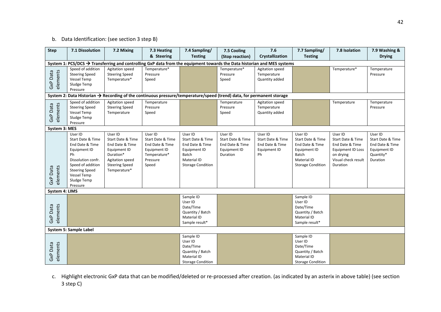# b. Data Identification: (see section 3 step B)

| <b>Step</b>          | 7.1 Dissolution                                                                                                                                                                            | 7.2 Mixing                                                                                                                               | 7.3 Heating                                                                                                                         | 7.4 Sampling/                                                                                                       | 7.6<br>7.5 Cooling                                                          |                                                                                                                                                                                              | 7.7 Sampling/                                                                          | 7.8 Isolation                                                                                                               | 7.9 Washing &                                                                            |
|----------------------|--------------------------------------------------------------------------------------------------------------------------------------------------------------------------------------------|------------------------------------------------------------------------------------------------------------------------------------------|-------------------------------------------------------------------------------------------------------------------------------------|---------------------------------------------------------------------------------------------------------------------|-----------------------------------------------------------------------------|----------------------------------------------------------------------------------------------------------------------------------------------------------------------------------------------|----------------------------------------------------------------------------------------|-----------------------------------------------------------------------------------------------------------------------------|------------------------------------------------------------------------------------------|
|                      |                                                                                                                                                                                            |                                                                                                                                          | & Steering                                                                                                                          | <b>Testing</b>                                                                                                      | (Stop reaction)                                                             | Crystallization                                                                                                                                                                              | <b>Testing</b>                                                                         |                                                                                                                             | <b>Drying</b>                                                                            |
|                      |                                                                                                                                                                                            |                                                                                                                                          | System 1: PCS/DCS $\rightarrow$ Transferring and controlling GxP data from the equipment towards the Data historian and MES systems |                                                                                                                     |                                                                             |                                                                                                                                                                                              |                                                                                        |                                                                                                                             |                                                                                          |
| elements<br>GxP Data | Speed of addition<br><b>Steering Speed</b><br>Vessel Temp<br>Sludge Temp<br>Pressure                                                                                                       | Agitation speed<br><b>Steering Speed</b><br>Temperature*                                                                                 | Temperature*<br>Pressure<br>Speed                                                                                                   |                                                                                                                     | Temperature*<br>Pressure<br>Speed                                           | Agitation speed<br>Temperature<br>Quantity added                                                                                                                                             |                                                                                        | Temperature*                                                                                                                | Temperature<br>Pressure                                                                  |
|                      |                                                                                                                                                                                            |                                                                                                                                          | System 2: Data Historian $\rightarrow$ Recording of the continuous pressure/temperature/speed (trend) data, for permanent storage   |                                                                                                                     |                                                                             |                                                                                                                                                                                              |                                                                                        |                                                                                                                             |                                                                                          |
| elements<br>GxP Data | Speed of addition<br><b>Steering Speed</b><br>Vessel Temp<br>Sludge Temp<br>Pressure                                                                                                       | Agitation speed<br><b>Steering Speed</b><br>Temperature                                                                                  | Temperature<br>Pressure<br>Speed                                                                                                    |                                                                                                                     | Temperature<br>Pressure<br>Speed                                            | Agitation speed<br>Temperature<br>Quantity added                                                                                                                                             |                                                                                        | Temperature                                                                                                                 | Temperature<br>Pressure                                                                  |
| System 3: MES        |                                                                                                                                                                                            |                                                                                                                                          |                                                                                                                                     |                                                                                                                     |                                                                             |                                                                                                                                                                                              |                                                                                        |                                                                                                                             |                                                                                          |
| elements<br>GxP Data | User ID<br>Start Date & Time<br>End Date & Time<br>Equipment ID<br>Ph<br>Dissolution confr.<br>Speed of addition<br><b>Steering Speed</b><br><b>Vessel Temp</b><br>Sludge Temp<br>Pressure | User ID<br>Start Date & Time<br>End Date & Time<br>Equipment ID<br>Duration*<br>Agitation speed<br><b>Steering Speed</b><br>Temperature* | User ID<br>Start Date & Time<br>End Date & Time<br>Equipment ID<br>Temperature*<br>Pressure<br>Speed                                | User ID<br>Start Date & Time<br>End Date & Time<br>Equipment ID<br>Batch<br>Material ID<br><b>Storage Condition</b> | User ID<br>Start Date & Time<br>End Date & Time<br>Equipment ID<br>Duration | User ID<br>User ID<br>Start Date & Time<br>Start Date & Time<br>End Date & Time<br>End Date & Time<br>Equipment ID<br>Equipment ID<br>Ph<br>Batch<br>Material ID<br><b>Storage Condition</b> |                                                                                        | User ID<br>Start Date & Time<br>End Date & Time<br><b>Equipment ID Loss</b><br>on drying<br>Visual check result<br>Duration | User ID<br>Start Date & Time<br>End Date & Time<br>Equipment ID<br>Quantity*<br>Duration |
|                      |                                                                                                                                                                                            |                                                                                                                                          |                                                                                                                                     |                                                                                                                     |                                                                             |                                                                                                                                                                                              |                                                                                        |                                                                                                                             |                                                                                          |
| elements<br>GxP Data | System 4: LIMS                                                                                                                                                                             |                                                                                                                                          |                                                                                                                                     | Sample ID<br>User ID<br>Date/Time<br>Quantity / Batch<br>Material ID<br>Sample result*                              |                                                                             |                                                                                                                                                                                              | Sample ID<br>User ID<br>Date/Time<br>Quantity / Batch<br>Material ID<br>Sample result* |                                                                                                                             |                                                                                          |
|                      | System 5: Sample Label                                                                                                                                                                     |                                                                                                                                          |                                                                                                                                     |                                                                                                                     |                                                                             |                                                                                                                                                                                              |                                                                                        |                                                                                                                             |                                                                                          |
| elements<br>GxP Data |                                                                                                                                                                                            |                                                                                                                                          | Sample ID<br>User ID<br>Date/Time<br>Quantity / Batch<br>Material ID<br><b>Storage Condition</b>                                    |                                                                                                                     |                                                                             | Sample ID<br>User ID<br>Date/Time<br>Quantity / Batch<br>Material ID<br><b>Storage Condition</b>                                                                                             |                                                                                        |                                                                                                                             |                                                                                          |

c. Highlight electronic GxP data that can be modified/deleted or re-processed after creation. (as indicated by an asterix in above table) (see section 3 step C)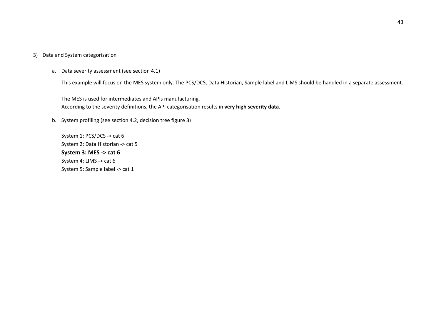### 3) Data and System categorisation

a. Data severity assessment (see section 4.1)

This example will focus on the MES system only. The PCS/DCS, Data Historian, Sample label and LIMS should be handled in a separate assessment.

The MES is used for intermediates and APIs manufacturing. According to the severity definitions, the API categorisation results in **very high severity data**.

b. System profiling (see section 4.2, decision tree figure 3)

System 1: PCS/DCS -> cat 6 System 2: Data Historian -> cat 5 **System 3: MES -> cat 6** System 4: LIMS -> cat 6 System 5: Sample label -> cat 1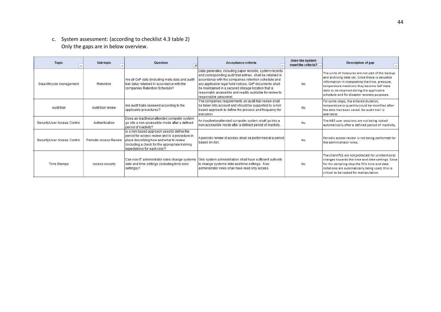c. System assessment: (according to checklist 4.3 table 2 ) Only the gaps are in below overview.

| <b>Topic</b>                 | Sub topic              | <b>Question</b><br>LT.                                                                                                                                                                                                      | Acceptance criteria                                                                                                                                                                                                                                                                                                                                                                    | Does the system<br>meet the criteria? $\sqrt{\phantom{a}}$ | Description of gap                                                                                                                                                                                                                                                                                 |
|------------------------------|------------------------|-----------------------------------------------------------------------------------------------------------------------------------------------------------------------------------------------------------------------------|----------------------------------------------------------------------------------------------------------------------------------------------------------------------------------------------------------------------------------------------------------------------------------------------------------------------------------------------------------------------------------------|------------------------------------------------------------|----------------------------------------------------------------------------------------------------------------------------------------------------------------------------------------------------------------------------------------------------------------------------------------------------|
| Data lifecycle management    | Retention              | Are all GxP data (Including meta data and audit<br>trail data) retained in accordance with the<br>companies Retention Schedule?                                                                                             | Data generated, including paper records, system records<br>and corresponding audit trail entries, shall be retained in<br>accordance with the companies retention schedule and<br>any applicable legal hold notices. GxP documents shall<br>be maintained in a secured storage location that is<br>reasonably accessible and readily available for review to<br>responsible personnel. | No                                                         | The units of measures are not part of the backup<br>and archiving data set. Since these is valuable<br>information in interpreting the time, pressure,<br>temperature notations they become GxP metal<br>data to be retained during the applicable<br>schedule and for disaster recovery purposes. |
| Audit trail                  | Audit trail review     | Are audit trails reviewed according to the<br>applicable procedures?                                                                                                                                                        | The companies requirements on audit trail review shall<br>be taken into account and should be supported by a risk<br>based approach to define the process and frequency for<br>execution.                                                                                                                                                                                              | <b>No</b>                                                  | For some steps, the entered duration,<br>temperature or quantity could be modified after<br>the data has been saved. No audit trail is<br>available.                                                                                                                                               |
| Security/User Access Control | Authentication         | Does an inactive/unattended computer system<br>go into a non-accessible mode after a defined<br>period of inactivity?                                                                                                       | An inactive/unattended computer system shall go into a<br>non-accessible mode after a defined period of inactivity.                                                                                                                                                                                                                                                                    | <b>No</b>                                                  | The MES user sessions are not being locked<br>automatically after a defined period of inactivity.                                                                                                                                                                                                  |
| Security/User Access Control | Periodic Access Review | Is a risk based approach used to define the<br>period for access review and is a procedure in<br>place describing how and what to review<br>(including a check for the appropriate training<br>expectations for each role)? | A periodic review of access shall be performed at a period<br>based on risk.                                                                                                                                                                                                                                                                                                           | <b>No</b>                                                  | Periodic access review is not being performed for<br>the administrator roles.                                                                                                                                                                                                                      |
| <b>Time Stamps</b>           | <b>Access security</b> | Can non-IT administrator roles change systems<br>date and time settings (including time zone<br>settings)?                                                                                                                  | Only system administrators shall have sufficient authority<br>to change systems date and time settings. Non-<br>administrator roles shall have read only access.                                                                                                                                                                                                                       | No                                                         | The client PCs are not protected for unintentional<br>changes towards the time and date settings. Since<br>for the sampling step the PC's time and data<br>notations are automatically being used, this is<br>critical to be locked for manipulation.                                              |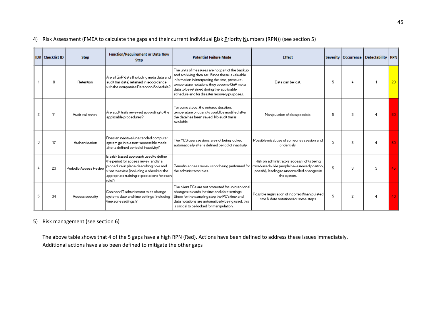# 4) Risk Assessment (FMEA to calculate the gaps and their current individual Risk Priority Numbers (RPN)) (see section 5)

| <b>ID#   Checklist ID</b> | <b>Step</b>            | <b>Function/Requirement or Data flow</b><br><b>Step</b>                                                                                                                                                                         | <b>Potential Failure Mode</b>                                                                                                                                                                                                                                                                       | <b>Effect</b>                                                                                                                                           |    |    | Severity   Occurrence   Detectability   RPN |    |
|---------------------------|------------------------|---------------------------------------------------------------------------------------------------------------------------------------------------------------------------------------------------------------------------------|-----------------------------------------------------------------------------------------------------------------------------------------------------------------------------------------------------------------------------------------------------------------------------------------------------|---------------------------------------------------------------------------------------------------------------------------------------------------------|----|----|---------------------------------------------|----|
| 8                         | <b>Retention</b>       | Are all GxP data (Including meta data and<br>audit trail data) retained in accordance.<br>with the companies Retention Schedule?                                                                                                | The units of measures are not part of the backup-<br>and archiving data set. Since these is valuable<br>information in interpreting the time, pressure,<br>temperature notations they become GxP meta-<br>data to be retained during the applicable<br>schedule and for disaster recovery purposes. | Data can be lost.                                                                                                                                       | 5  | 4  |                                             | 20 |
| 2<br>14                   | Audit trail review     | Are audit trails reviewed according to the l<br>applicable procedures?                                                                                                                                                          | For some steps, the entered duration,<br>temperature or quantity could be modified after<br>the data has been saved. No audit trail is .<br>available.                                                                                                                                              | Manipulation of data possible.                                                                                                                          | 5  | 3. |                                             | 60 |
| 3.<br>17                  | Authentication         | Does an inactive/unattended computer<br>system go into a non-accessible mode<br>after a defined period of inactivity?                                                                                                           | The MES user sessions are not being looked<br>automatically after a defined period of inactivity.                                                                                                                                                                                                   | Possible misabuse of someones session and<br>cridentials.                                                                                               | 5. | 3  |                                             | 60 |
| 23                        | Periodic Access Reviev | Is a risk based approach used to define<br>the period for access review and is a<br>procedure in place describing how and<br>what to review (including a check for the<br>appropriate training expectations for each<br>Irole1? | Periodic access review is not being performed for<br>the administrator roles.                                                                                                                                                                                                                       | Risk on administrators access rights being<br>misabused while people have moved position,<br>possibly leading to uncontrolled changes in<br>the system. | 5  | 3. | з.                                          | 45 |
| 5.<br>34                  | Access security        | l Can non-IT administrator roles change.<br>systems date and time settings (including<br>time zone settings)?                                                                                                                   | The client PCs are not protected for unintentional<br>changes towards the time and date settings.<br>Since for the sampling step the PC's time and<br>data notations are automatically being used, this<br>is critical to be locked for manipulation.                                               | Possible registration of incorrect/manipulated<br>time & date notations for some steps.                                                                 | 5. | 2  |                                             | 40 |

# 5) Risk management (see section 6)

The above table shows that 4 of the 5 gaps have a high RPN (Red). Actions have been defined to address these issues immediately. Additional actions have also been defined to mitigate the other gaps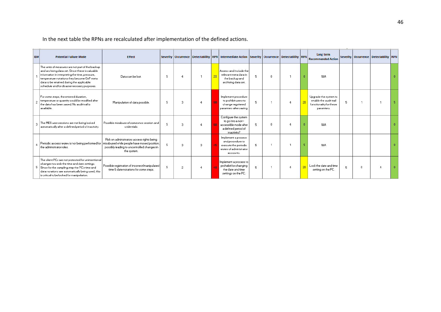In the next table the RPNs are recalculated after implementation of the defined actions.

| ID# | <b>Potential Failure Mode</b>                                                                                                                                                                                                                                                                      | <b>Effect</b>                                                                                                                                           |   |   |   |    | Severity   Occurrence   Detectability   RPN   Intermediate Action   Severity   Occurrence   Detectability   RPN |   |   |          |    | Long term<br><b>Recommended Action</b>                                                   |   |    | Severity   Occurrence   Detectability   RPN |   |
|-----|----------------------------------------------------------------------------------------------------------------------------------------------------------------------------------------------------------------------------------------------------------------------------------------------------|---------------------------------------------------------------------------------------------------------------------------------------------------------|---|---|---|----|-----------------------------------------------------------------------------------------------------------------|---|---|----------|----|------------------------------------------------------------------------------------------|---|----|---------------------------------------------|---|
|     | The units of measures are not part of the backup<br>and archiving data set. Since these is valuable<br>information in interpreting the time, pressure,<br>temperature notations they become GxP meta-<br>data to be retained during the applicable<br>schedule and for disaster recovery purposes. | Data can be lost.                                                                                                                                       | 5 |   |   | 20 | Assess and include the<br>relevant meta data in<br>the backup and<br>archiving data set.                        | 5 | 0 |          |    | N/A                                                                                      |   |    |                                             |   |
|     | For some steps, the entered duration,<br>temperature or quantity could be modified after<br>$\overline{2}$<br>the data has been saved. No audit trail is<br>available.                                                                                                                             | Manipulation of data possible.                                                                                                                          | 5 | 3 |   |    | Implement procedure<br>to prohibit users to<br>change regsitered<br>paramters after saving.                     | 5 |   |          | 20 | Upgrade the system to<br>enable the audit trail<br>functionality for these<br>paramters. | 5 |    |                                             | 5 |
|     | The MES user sessions are not being locked<br>зI<br>automatically after a defined period of inactivity.                                                                                                                                                                                            | Possible misabuse of someones session and<br>cridentials.                                                                                               | 5 | 3 |   |    | Configure the system<br>to go into a non-<br>accessible mode after<br>a defined period of<br>inactivity?        | 5 | n | 4        |    | N/A                                                                                      |   |    |                                             |   |
|     | Periodic access review is not being performed for<br>the administrator roles.                                                                                                                                                                                                                      | Risk on administrators access rights being<br>misabused while people have moved position,<br>possibly leading to uncontrolled changes in<br>the system. |   | 3 | з |    | Implement a process<br>and procedure to<br>execute the periodic<br>review of administrator<br>accounts.         | 5 |   |          |    | <b>N/A</b>                                                                               |   |    |                                             | n |
|     | The client PCs are not protected for unintentional<br>changes towards the time and date settings.<br>5 Since for the sampling step the PC's time and<br>data notations are automatically being used, this<br>is critical to be locked for manipulation.                                            | Possible registration of incorrect/manipulated<br>time & date notations for some steps.                                                                 | 5 | 2 |   |    | Implement a process to<br>prohebit for changing<br>the date and time<br>settings on the PC.                     | 5 |   | $\Delta$ | 20 | Look the date and time<br>setting on the PC.                                             | 5 | Ω. |                                             | n |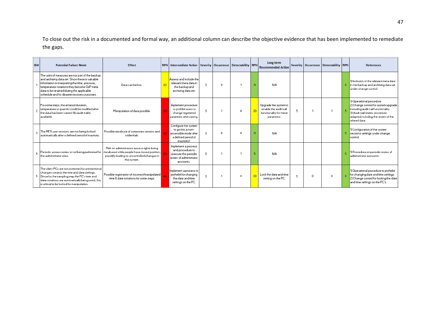To close out the risk in a documented and formal way, an additional column can describe the objective evidence that has been implemented to remediate the gaps.

| ID# | <b>Potential Failure Mode</b>                                                                                                                                                                                                                                                                      | <b>Effect</b>                                                                                                                                           | RPN   Intermediate Action   Severity   Occurrence   Detectability   RPN                                  |    |          |    |    | Long term<br><b>Recommended Action</b>                                                   |   |    | Severity   Occurrence   Detectability   RPN |                | <b>References</b>                                                                                                                                                                                 |
|-----|----------------------------------------------------------------------------------------------------------------------------------------------------------------------------------------------------------------------------------------------------------------------------------------------------|---------------------------------------------------------------------------------------------------------------------------------------------------------|----------------------------------------------------------------------------------------------------------|----|----------|----|----|------------------------------------------------------------------------------------------|---|----|---------------------------------------------|----------------|---------------------------------------------------------------------------------------------------------------------------------------------------------------------------------------------------|
|     | The units of measures are not part of the backup<br>and archiving data set. Since these is valuable<br>information in interpreting the time, pressure,<br>temperature notations they become GxP meta-<br>data to be retained during the applicable<br>schedule and for disaster recovery purposes. | Data can be lost                                                                                                                                        | Assess and include the<br>relevant meta data in<br>the backup and<br>archiving data set.                 | 5. | $\Omega$ |    |    | <b>N/A</b>                                                                               |   |    |                                             | $\overline{0}$ | 1) Inclusion of the relevant meta data<br>In the backup and archiving data set<br>under change control.                                                                                           |
|     | For some steps, the entered duration,<br>2   temperature or quantity could be modified after<br>the data has been saved. No audit trail is<br>available.                                                                                                                                           | Manipulation of data possible.                                                                                                                          | Implement procedure<br>to prohibit users to<br>change regsitered<br>paramters after saving.              | 5. |          | -4 | 20 | Upgrade the system to<br>enable the audit trail<br>functionality for these<br>paramters. | 5 |    |                                             |                | 1) Operational procedure<br>2) Change control for system upgrade<br>including audit trail functionality<br>3) Audit trail review procedure<br>adapted including the review of the<br>related data |
|     | The MES user sessions are not being looked<br>automatically after a defined period of inactivity.                                                                                                                                                                                                  | Possible misabuse of someones session and<br>cridentials.                                                                                               | Configure the system<br>to go into a non-<br>accessible mode after<br>a defined period of<br>inactivity? | 5. | $\Omega$ | 4  |    | <b>N/A</b>                                                                               |   |    |                                             |                | 1) Configuration of the system<br>sessions settings under change<br>control.                                                                                                                      |
|     | $_4$ Periodic access review is not being performed for<br>the administrator roles.                                                                                                                                                                                                                 | Risk on administrators access rights being<br>misabused while people have moved position,<br>possibly leading to uncontrolled changes in<br>the system. | Implement a process<br>and procedure to<br>execute the periodic<br>review of administrator<br>accounts.  | 5. |          |    |    | <b>N/A</b>                                                                               |   |    |                                             |                | 1) Procedure on periodic review of<br>administrator accounts.                                                                                                                                     |
|     | The client PCs are not protected for unintentional<br>changes towards the time and date settings.<br>5 Since for the sampling step the PC's time and<br>data notations are automatically being used, this<br>is critical to be locked for manipulation.                                            | Possible registration of incorrect/manipulated<br>time & date notations for some steps.                                                                 | Implement a process to<br>prohebit for changing<br>the date and time<br>settings on the PC.              | 5. |          | 4  | 20 | Look the date and time<br>setting on the PC.                                             | 5 | 0. | 4                                           |                | 1) Operational procedure to prohebit<br>for changing date and time settings.<br>2) Change control for locking the date<br>and time settings on the PC's.                                          |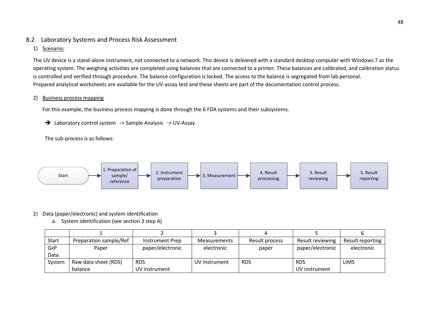# 8.2 Laboratory Systems and Process Risk Assessment

### 1) Scenario:

The UV device is a stand-alone instrument, not connected to a network. This device is delivered with a standard desktop computer with Windows 7 as the operating system. The weighing activities are completed using balances that are connected to a printer. These balances are calibrated, and calibration status is controlled and verified through procedure. The balance configuration is locked. The access to the balance is segregated from lab personal. Prepared analytical worksheets are available for the UV-assay test and these sheets are part of the documentation control process.

### 2) Business process mapping

For this example, the business process mapping is done through the 6 FDA systems and their subsystems.

→ Laboratory control system -> Sample Analysis -> UV-Assay

The sub-process is as follows:

<span id="page-47-0"></span>

# 2) Data (paper/electronic) and system identification

a. System identification (see section 3 step A)

| Start  | Preparation sample/Ref | Instrument Prep  | Measurements  | Result process | Result reviewing | Result reporting |
|--------|------------------------|------------------|---------------|----------------|------------------|------------------|
| GxP    | Paper                  | paper/electronic | electronic    | paper          | paper/electronic | electronic       |
| Data   |                        |                  |               |                |                  |                  |
| System | Raw data sheet (RDS)   | <b>RDS</b>       | UV instrument | <b>RDS</b>     | <b>RDS</b>       | <b>LIMS</b>      |
|        | balance                | UV instrument    |               |                | UV instrument    |                  |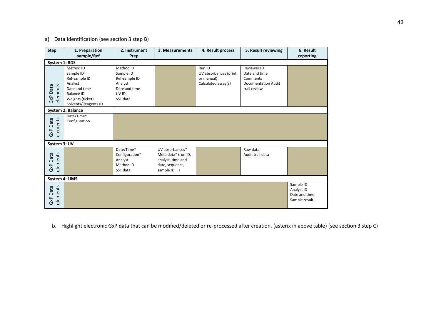# a) Data Identification (see section 3 step B)

| <b>Step</b>             | 1. Preparation<br>sample/Ref                                                                                                         | 2. Instrument<br>Prep                                                                    | 4. Result process<br>3. Measurements                                                           |                                                                      | 5. Result reviewing                                                                           | 6. Result<br>reporting                                    |
|-------------------------|--------------------------------------------------------------------------------------------------------------------------------------|------------------------------------------------------------------------------------------|------------------------------------------------------------------------------------------------|----------------------------------------------------------------------|-----------------------------------------------------------------------------------------------|-----------------------------------------------------------|
| System 1: RDS           |                                                                                                                                      |                                                                                          |                                                                                                |                                                                      |                                                                                               |                                                           |
| elements<br>GxP Data    | Method ID<br>Sample ID<br>Ref-sample ID<br>Analyst<br>Date and time<br><b>Balance ID</b><br>Weights (ticket)<br>Solvents/Reagents ID | Method ID<br>Sample ID<br>Ref-sample ID<br>Analyst<br>Date and time<br>UV ID<br>SST data |                                                                                                | Run ID<br>UV absorbances (print<br>or manual)<br>Calculated assay(s) | <b>Reviewer ID</b><br>Date and time<br>Comments<br><b>Documentation Audit</b><br>trail review |                                                           |
|                         | System 2: Balance                                                                                                                    |                                                                                          |                                                                                                |                                                                      |                                                                                               |                                                           |
| elements<br>GxP Data    | Date/Time*<br>Configuration                                                                                                          |                                                                                          |                                                                                                |                                                                      |                                                                                               |                                                           |
| System 3: UV            |                                                                                                                                      |                                                                                          |                                                                                                |                                                                      |                                                                                               |                                                           |
| elements<br>Data<br>GXP |                                                                                                                                      | Date/Time*<br>Configuration*<br>Analyst<br>Method ID<br>SST data                         | UV absorbances*<br>Meta data* (run ID,<br>analyst, time and<br>date, sequence,<br>sample ID, ) |                                                                      | Raw data<br>Audit trail data                                                                  |                                                           |
| System 4: LIMS          |                                                                                                                                      |                                                                                          |                                                                                                |                                                                      |                                                                                               |                                                           |
| elements<br>GxP Data    |                                                                                                                                      |                                                                                          |                                                                                                |                                                                      |                                                                                               | Sample ID<br>Analyst ID<br>Date and time<br>Sample result |

b. Highlight electronic GxP data that can be modified/deleted or re-processed after creation. (asterix in above table) (see section 3 step C)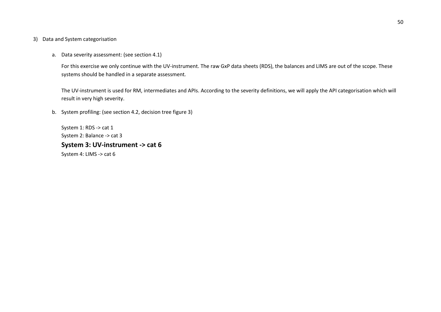#### 3) Data and System categorisation

a. Data severity assessment: (see section 4.1)

For this exercise we only continue with the UV-instrument. The raw GxP data sheets (RDS), the balances and LIMS are out of the scope. These systems should be handled in a separate assessment*.*

The UV-instrument is used for RM, intermediates and APIs. According to the severity definitions, we will apply the API categorisation which will result in very high severity.

b. System profiling: (see section 4.2, decision tree figure 3)

System 1: RDS -> cat 1 System 2: Balance -> cat 3 **System 3: UV-instrument -> cat 6** System 4: LIMS -> cat 6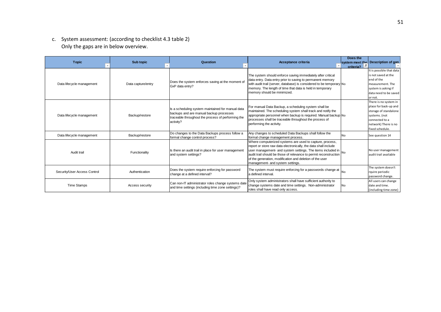c. System assessment: (according to checklist 4.3 table 2) Only the gaps are in below overview.

| <b>Topic</b>                 | Sub topic          | Question                                                                                                                                                        | Acceptance criteria                                                                                                                                                                                                                                                                                                                                             | Does the<br>criteria? $T$ | system meet the Description of gan                                                                                                                    |
|------------------------------|--------------------|-----------------------------------------------------------------------------------------------------------------------------------------------------------------|-----------------------------------------------------------------------------------------------------------------------------------------------------------------------------------------------------------------------------------------------------------------------------------------------------------------------------------------------------------------|---------------------------|-------------------------------------------------------------------------------------------------------------------------------------------------------|
| Data lifecycle management    | Data capture/entry | Does the system enforces saving at the moment of<br>GxP data entry?                                                                                             | The system should enforce saving immediately after critical<br>data entry. Data entry prior to saving to permanent memory<br>with audit trail (server, database) is considered to be temporary No<br>memory. The length of time that data is held in temporary<br>memory should be minimized.                                                                   |                           | It is possible that data<br>is not saved at the<br>end of the<br>measurement. The<br>system is asking if<br>data need to be saved<br>or not.          |
| Data lifecycle management    | Backup/restore     | Is a scheduling system maintained for manual data<br>backups and are manual backup processes<br>traceable throughout the process of performing the<br>activity? | For manual Data Backup, a scheduling system shall be<br>maintained. The scheduling system shall track and notify the<br>appropriate personnel when backup is required. Manual backup No<br>processes shall be traceable throughout the process of<br>performing the activity.                                                                                   |                           | There is no system in<br>place for back-up and<br>storage of standalone<br>systems. (not<br>connected to a<br>network) There is no<br>fixed schedule. |
| Data lifecycle management    | Backup/restore     | Do changes to the Data Backups process follow a<br>formal change control process?                                                                               | Any changes to scheduled Data Backups shall follow the<br>formal change management process.                                                                                                                                                                                                                                                                     | N٥                        | See question 14                                                                                                                                       |
| Audit trail                  | Functionality      | Is there an audit trail in place for user management<br>and system settings?                                                                                    | Where computerized systems are used to capture, process,<br>report or store raw data electronically, the data shall include<br>user management- and system settings. The items included in<br>audit trail should be those of relevance to permit reconstruction<br>of the generation, modification and deletion of the user<br>management- and system settings. |                           | No user management<br>audit trail available                                                                                                           |
| Security/User Access Control | Authentication     | Does the system require enforcing for password<br>change at a defined interval?                                                                                 | The system must require enforcing for a passwords change at<br>a defined interval.                                                                                                                                                                                                                                                                              |                           | The system doesn't<br>rquire periodic<br>password change.                                                                                             |
| <b>Time Stamps</b>           | Access security    | Can non-IT administrator roles change systems date<br>and time settings (including time zone settings)?                                                         | Only system administrators shall have sufficient authority to<br>change systems date and time settings. Non-administrator<br>roles shall have read only access.                                                                                                                                                                                                 | No                        | All users can change<br>date and time.<br>(including time zone)                                                                                       |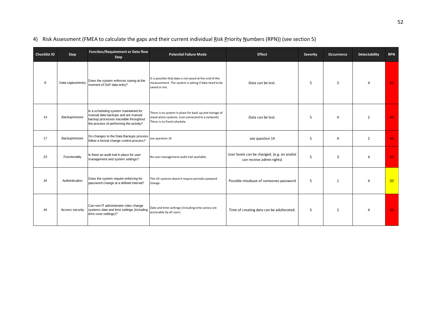| <b>Checklist ID</b> | Step               | <b>Function/Requirement or Data flow</b><br><b>Step</b>                                                                                                         | <b>Potential Failure Mode</b>                                                                                                              | <b>Effect</b>                                                             | Severity | <b>Occurrence</b> | <b>Detectability</b> | <b>RPN</b> |
|---------------------|--------------------|-----------------------------------------------------------------------------------------------------------------------------------------------------------------|--------------------------------------------------------------------------------------------------------------------------------------------|---------------------------------------------------------------------------|----------|-------------------|----------------------|------------|
| 8                   | Data capture/entry | Does the system enforces saving at the<br>moment of GxP data entry?                                                                                             | It is possible that data is not saved at the end of the<br>measurement. The system is asking if data need to be<br>saved or not.           | Data can be lost.                                                         | 5        | 3                 | 4                    | 60         |
| 14                  | Backup/restore     | Is a scheduling system maintained for<br>manual data backups and are manual<br>backup processes traceable throughout<br>the process of performing the activity? | There is no system in place for back-up and storage of<br>stand alone systems. (not connected to a network)<br>There is no fixed schedule. | Data can be lost.                                                         | 5        | 4                 | $\overline{2}$       | 40         |
| 17                  | Backup/restore     | Do changes to the Data Backups process<br>follow a formal change control process?                                                                               | see question 14                                                                                                                            | see question 14                                                           | 5        | 4                 | $\overline{2}$       | 40         |
| 23                  | Functionality      | Is there an audit trail in place for user<br>management and system settings?                                                                                    | No user management audit trail available                                                                                                   | User levels can be changed. (e.g. an analist<br>can receive admin rights) | 5        | 3                 | 4                    | 60         |
| 34                  | Authentication     | Does the system require enforcing for<br>password change at a defined interval?                                                                                 | The UV systems doesn't require periodic pasword<br>change.                                                                                 | Possible misabuse of someones password                                    | 5        | $\mathbf{1}$      | Δ                    | 20         |
| 44                  | Access security    | Can non-IT administrator roles change<br>systems date and time settings (including<br>time zone settings)?                                                      | Date and time settings (including time zones) are<br>accessable by all users.                                                              | Time of creating data can be adulterated.                                 | 5        | 2                 | Δ                    | 40         |

# 4) Risk Assessment (FMEA to calculate the gaps and their current individual Risk Priority Numbers (RPN)) (see section 5)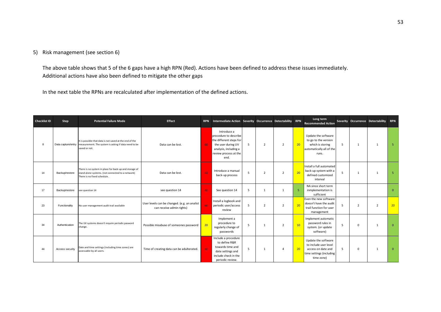### 5) Risk management (see section 6)

The above table shows that 5 of the 6 gaps have a high RPN (Red). Actions have been defined to address these issues immediately. Additional actions have also been defined to mitigate the other gaps

In the next table the RPNs are recalculated after implementation of the defined actions.

| Checklist ID | Step            | <b>Potential Failure Mode</b>                                                                                                                       | Effect                                                                    |    | RPN Intermediate Action Severity Occurrence Detectability RPN                                                                                   |   |                |                |    | Long term<br><b>Recommended Action</b>                                                                       |   |                | Severity Occurrence Detectability RPN |                 |
|--------------|-----------------|-----------------------------------------------------------------------------------------------------------------------------------------------------|---------------------------------------------------------------------------|----|-------------------------------------------------------------------------------------------------------------------------------------------------|---|----------------|----------------|----|--------------------------------------------------------------------------------------------------------------|---|----------------|---------------------------------------|-----------------|
| 8            |                 | It is possible that data is not saved at the end of the<br>Data capture/entry measurement. The system is asking if data need to be<br>saved or not. | Data can be lost.                                                         | 60 | Introduce a<br>procedure to describe<br>the different steps for<br>the user during UV<br>analysis, including a<br>review process at the<br>end. | 5 | $\overline{2}$ | $\overline{2}$ | 20 | Update the software<br>to go to the version<br>which is storing<br>automatically all of the<br>runs.         | 5 | $\mathbf{1}$   | 1                                     | -5              |
| 14           | Backup/restore  | There is no system in place for back-up and storage of<br>stand alone systems. (not connected to a network)<br>There is no fixed schedule.          | Data can be lost.                                                         | 40 | Introduce a manual<br>back-up process                                                                                                           | 5 | $\overline{2}$ | $\overline{2}$ | 20 | Install a full automated<br>back-up system with a<br>defined customized<br>interval                          | 5 | $\mathbf{1}$   | $\mathbf{1}$                          | 5               |
| 17           | Backup/restore  | see question 14                                                                                                                                     | see question 14                                                           | 40 | See question 14                                                                                                                                 | 5 | $\mathbf{1}$   | 1              | 5  | NA since short term<br>inmplementation is<br>sufficient                                                      |   |                |                                       | $\overline{0}$  |
| 23           | Functionality   | No user management audit trail available                                                                                                            | User levels can be changed. (e.g. an analist<br>can receive admin rights) | 60 | Install a logbook and<br>periodic user/access<br>review                                                                                         | 5 | $\overline{2}$ | $\overline{2}$ | 20 | Even the new software<br>doesn't have the audit<br>trail function for user<br>management                     | 5 | $\overline{2}$ | $\overline{2}$                        | 20 <sup>2</sup> |
| 34           | Authentication  | The UV systems doesn't require periodic pasword<br>change.                                                                                          | Possible misabuse of someones password                                    | 20 | Implement a<br>procedure to<br>regularly change of<br>passwords                                                                                 | 5 | $\mathbf{1}$   | $\overline{2}$ | 10 | Implement automatic<br>password rules in<br>system. (or update<br>software)                                  | 5 | $\Omega$       | $\mathbf{1}$                          | $\overline{0}$  |
| 44           | Access security | Date and time settings (including time zones) are<br>accessable by all users.                                                                       | Time of creating data can be adulterated.                                 | 40 | Include a procedure<br>to define R&R<br>towards time and<br>date settings and<br>include check in the<br>periodic review.                       | 5 | $\mathbf{1}$   | $\overline{a}$ | 20 | Update the software<br>to include user level<br>access on date and<br>time settings (including<br>time zone) | 5 | $\Omega$       | $\mathbf{1}$                          | $\overline{0}$  |